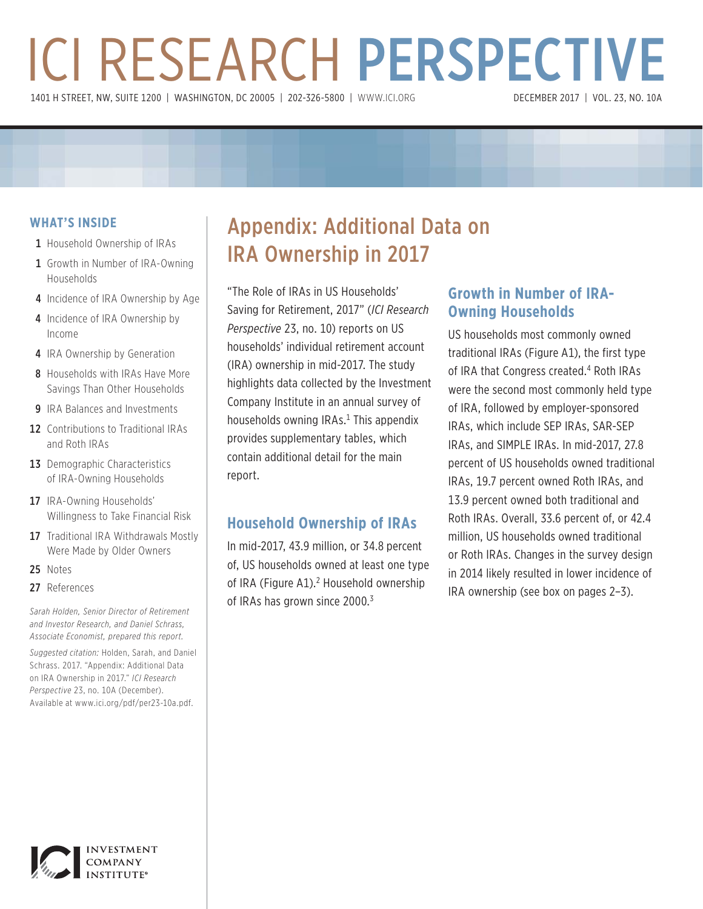# ICI RESEARCH PERSPECTIVE 1401 H STREET, NW, SUITE 1200 | WASHINGTON, DC 20005 | 202-326-5800 | WWW.ICI.ORG

#### **WHAT'S INSIDE**

- 1 Household Ownership of IRAs
- 1 Growth in Number of IRA-Owning Households
- 4 Incidence of IRA Ownership by Age
- 4 Incidence of IRA Ownership by Income
- 4 IRA Ownership by Generation
- 8 Households with IRAs Have More Savings Than Other Households
- 9 IRA Balances and Investments
- 12 Contributions to Traditional IRAs and Roth IRAs
- 13 Demographic Characteristics of IRA-Owning Households
- **17** IRA-Owning Households' Willingness to Take Financial Risk
- 17 Traditional IRA Withdrawals Mostly Were Made by Older Owners
- 25 Notes
- 27 References

*Sarah Holden, Senior Director of Retirement and Investor Research, and Daniel Schrass, Associate Economist, prepared this report.* 

*Suggested citation:* Holden, Sarah, and Daniel Schrass. 2017. "Appendix: Additional Data on IRA Ownership in 2017." *ICI Research Perspective* 23, no. 10A (December). Available at www.ici.org/pdf/per23-10a.pdf.

# Appendix: Additional Data on IRA Ownership in 2017

"The Role of IRAs in US Households' Saving for Retirement, 2017" (*ICI Research Perspective* 23, no. 10) reports on US households' individual retirement account (IRA) ownership in mid-2017. The study highlights data collected by the Investment Company Institute in an annual survey of households owning IRAs. $^1$  This appendix provides supplementary tables, which contain additional detail for the main report.

### **Household Ownership of IRAs**

In mid-2017, 43.9 million, or 34.8 percent of, US households owned at least one type of IRA (Figure A1).<sup>2</sup> Household ownership of IRAs has grown since 2000.<sup>3</sup>

### **Growth in Number of IRA-Owning Households**

US households most commonly owned traditional IRAs (Figure A1), the first type of IRA that Congress created.<sup>4</sup> Roth IRAs were the second most commonly held type of IRA, followed by employer-sponsored IRAs, which include SEP IRAs, SAR-SEP IRAs, and SIMPLE IRAs. In mid-2017, 27.8 percent of US households owned traditional IRAs, 19.7 percent owned Roth IRAs, and 13.9 percent owned both traditional and Roth IRAs. Overall, 33.6 percent of, or 42.4 million, US households owned traditional or Roth IRAs. Changes in the survey design in 2014 likely resulted in lower incidence of IRA ownership (see box on pages 2–3).

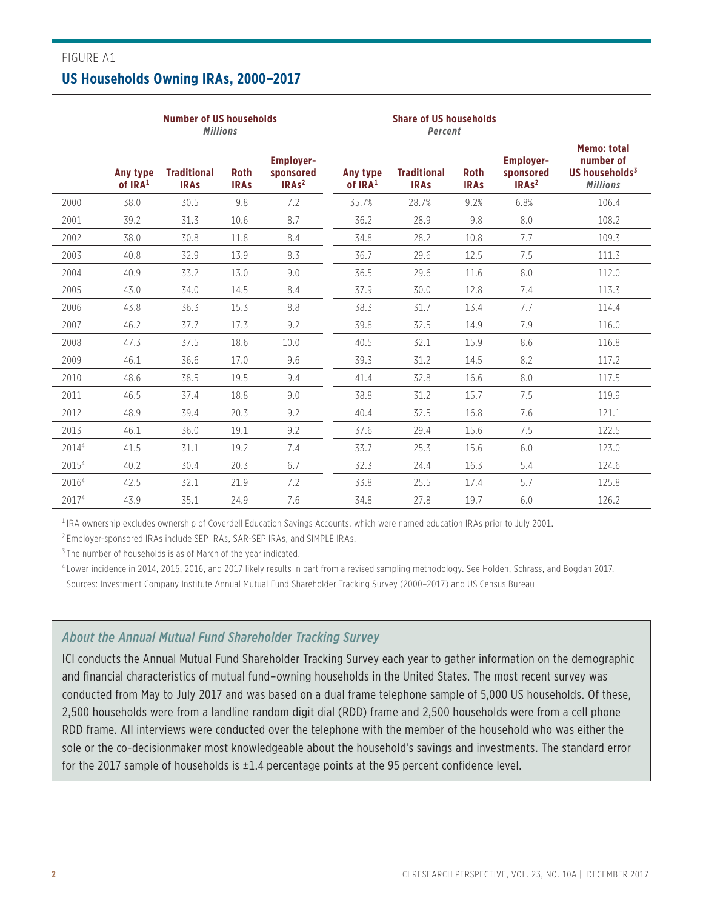### FIGURE A1 **US Households Owning IRAs, 2000–2017**

|       |                       | <b>Number of US households</b><br><b>Millions</b> |                            |                                                    |                       | <b>Share of US households</b><br>Percent |                            |                                                    |                                                                         |
|-------|-----------------------|---------------------------------------------------|----------------------------|----------------------------------------------------|-----------------------|------------------------------------------|----------------------------|----------------------------------------------------|-------------------------------------------------------------------------|
|       | Any type<br>of $IRA1$ | <b>Traditional</b><br><b>IRAS</b>                 | <b>Roth</b><br><b>IRAS</b> | <b>Employer-</b><br>sponsored<br>IRAs <sup>2</sup> | Any type<br>of $IRA1$ | <b>Traditional</b><br><b>IRAs</b>        | <b>Roth</b><br><b>IRAs</b> | <b>Employer-</b><br>sponsored<br>IRAs <sup>2</sup> | <b>Memo: total</b><br>number of<br>US households $3$<br><b>Millions</b> |
| 2000  | 38.0                  | 30.5                                              | 9.8                        | 7.2                                                | 35.7%                 | 28.7%                                    | 9.2%                       | 6.8%                                               | 106.4                                                                   |
| 2001  | 39.2                  | 31.3                                              | 10.6                       | 8.7                                                | 36.2                  | 28.9                                     | 9.8                        | 8.0                                                | 108.2                                                                   |
| 2002  | 38.0                  | 30.8                                              | 11.8                       | 8.4                                                | 34.8                  | 28.2                                     | 10.8                       | 7.7                                                | 109.3                                                                   |
| 2003  | 40.8                  | 32.9                                              | 13.9                       | 8.3                                                | 36.7                  | 29.6                                     | 12.5                       | 7.5                                                | 111.3                                                                   |
| 2004  | 40.9                  | 33.2                                              | 13.0                       | 9.0                                                | 36.5                  | 29.6                                     | 11.6                       | 8.0                                                | 112.0                                                                   |
| 2005  | 43.0                  | 34.0                                              | 14.5                       | 8.4                                                | 37.9                  | 30.0                                     | 12.8                       | 7.4                                                | 113.3                                                                   |
| 2006  | 43.8                  | 36.3                                              | 15.3                       | 8.8                                                | 38.3                  | 31.7                                     | 13.4                       | 7.7                                                | 114.4                                                                   |
| 2007  | 46.2                  | 37.7                                              | 17.3                       | 9.2                                                | 39.8                  | 32.5                                     | 14.9                       | 7.9                                                | 116.0                                                                   |
| 2008  | 47.3                  | 37.5                                              | 18.6                       | 10.0                                               | 40.5                  | 32.1                                     | 15.9                       | 8.6                                                | 116.8                                                                   |
| 2009  | 46.1                  | 36.6                                              | 17.0                       | 9.6                                                | 39.3                  | 31.2                                     | 14.5                       | 8.2                                                | 117.2                                                                   |
| 2010  | 48.6                  | 38.5                                              | 19.5                       | 9.4                                                | 41.4                  | 32.8                                     | 16.6                       | 8.0                                                | 117.5                                                                   |
| 2011  | 46.5                  | 37.4                                              | 18.8                       | 9.0                                                | 38.8                  | 31.2                                     | 15.7                       | 7.5                                                | 119.9                                                                   |
| 2012  | 48.9                  | 39.4                                              | 20.3                       | 9.2                                                | 40.4                  | 32.5                                     | 16.8                       | 7.6                                                | 121.1                                                                   |
| 2013  | 46.1                  | 36.0                                              | 19.1                       | 9.2                                                | 37.6                  | 29.4                                     | 15.6                       | 7.5                                                | 122.5                                                                   |
| 20144 | 41.5                  | 31.1                                              | 19.2                       | 7.4                                                | 33.7                  | 25.3                                     | 15.6                       | 6.0                                                | 123.0                                                                   |
| 20154 | 40.2                  | 30.4                                              | 20.3                       | 6.7                                                | 32.3                  | 24.4                                     | 16.3                       | 5.4                                                | 124.6                                                                   |
| 20164 | 42.5                  | 32.1                                              | 21.9                       | 7.2                                                | 33.8                  | 25.5                                     | 17.4                       | 5.7                                                | 125.8                                                                   |
| 20174 | 43.9                  | 35.1                                              | 24.9                       | 7.6                                                | 34.8                  | 27.8                                     | 19.7                       | 6.0                                                | 126.2                                                                   |

1 IRA ownership excludes ownership of Coverdell Education Savings Accounts, which were named education IRAs prior to July 2001.

2 Employer-sponsored IRAs include SEP IRAs, SAR-SEP IRAs, and SIMPLE IRAs.

<sup>3</sup> The number of households is as of March of the year indicated.

4 Lower incidence in 2014, 2015, 2016, and 2017 likely results in part from a revised sampling methodology. See Holden, Schrass, and Bogdan 2017. Sources: Investment Company Institute Annual Mutual Fund Shareholder Tracking Survey (2000–2017) and US Census Bureau

#### *About the Annual Mutual Fund Shareholder Tracking Survey*

ICI conducts the Annual Mutual Fund Shareholder Tracking Survey each year to gather information on the demographic and financial characteristics of mutual fund–owning households in the United States. The most recent survey was conducted from May to July 2017 and was based on a dual frame telephone sample of 5,000 US households. Of these, 2,500 households were from a landline random digit dial (RDD) frame and 2,500 households were from a cell phone RDD frame. All interviews were conducted over the telephone with the member of the household who was either the sole or the co-decisionmaker most knowledgeable about the household's savings and investments. The standard error for the 2017 sample of households is  $\pm 1.4$  percentage points at the 95 percent confidence level.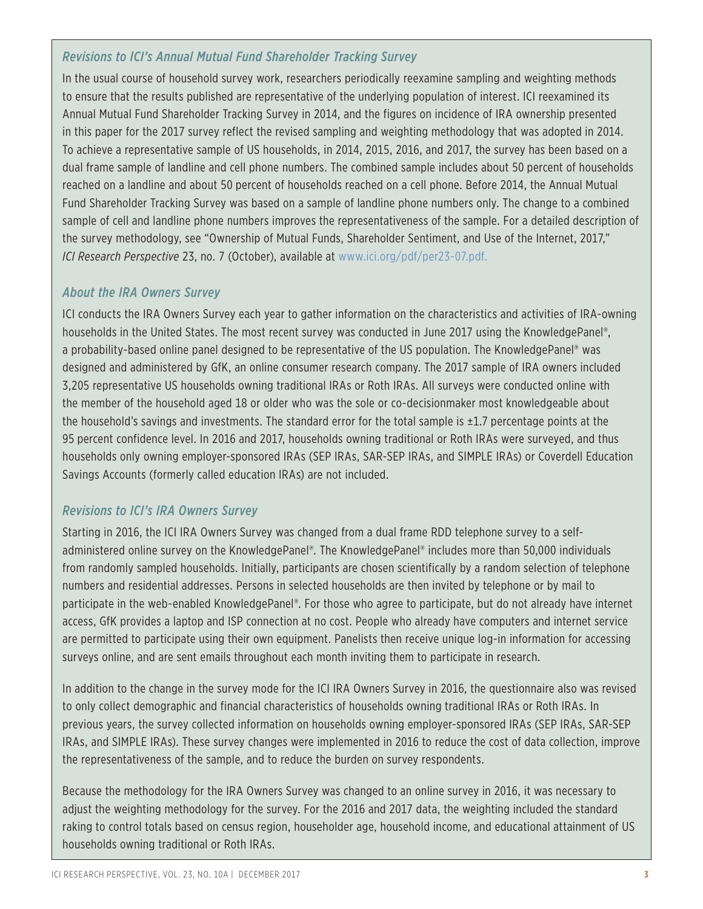### *Revisions to ICI's Annual Mutual Fund Shareholder Tracking Survey*

In the usual course of household survey work, researchers periodically reexamine sampling and weighting methods to ensure that the results published are representative of the underlying population of interest. ICI reexamined its Annual Mutual Fund Shareholder Tracking Survey in 2014, and the figures on incidence of IRA ownership presented in this paper for the 2017 survey reflect the revised sampling and weighting methodology that was adopted in 2014. To achieve a representative sample of US households, in 2014, 2015, 2016, and 2017, the survey has been based on a dual frame sample of landline and cell phone numbers. The combined sample includes about 50 percent of households reached on a landline and about 50 percent of households reached on a cell phone. Before 2014, the Annual Mutual Fund Shareholder Tracking Survey was based on a sample of landline phone numbers only. The change to a combined sample of cell and landline phone numbers improves the representativeness of the sample. For a detailed description of the survey methodology, see "Ownership of Mutual Funds, Shareholder Sentiment, and Use of the Internet, 2017," *ICI Research Perspective* 23, no. 7 (October), available at www.ici.org/pdf/per23-07.pdf.

### *About the IRA Owners Survey*

ICI conducts the IRA Owners Survey each year to gather information on the characteristics and activities of IRA-owning households in the United States. The most recent survey was conducted in June 2017 using the KnowledgePanel®, a probability-based online panel designed to be representative of the US population. The KnowledgePanel® was designed and administered by GfK, an online consumer research company. The 2017 sample of IRA owners included 3,205 representative US households owning traditional IRAs or Roth IRAs. All surveys were conducted online with the member of the household aged 18 or older who was the sole or co-decisionmaker most knowledgeable about the household's savings and investments. The standard error for the total sample is  $\pm 1.7$  percentage points at the 95 percent confidence level. In 2016 and 2017, households owning traditional or Roth IRAs were surveyed, and thus households only owning employer-sponsored IRAs (SEP IRAs, SAR-SEP IRAs, and SIMPLE IRAs) or Coverdell Education Savings Accounts (formerly called education IRAs) are not included.

### *Revisions to ICI's IRA Owners Survey*

Starting in 2016, the ICI IRA Owners Survey was changed from a dual frame RDD telephone survey to a selfadministered online survey on the KnowledgePanel®. The KnowledgePanel® includes more than 50,000 individuals from randomly sampled households. Initially, participants are chosen scientifically by a random selection of telephone numbers and residential addresses. Persons in selected households are then invited by telephone or by mail to participate in the web-enabled KnowledgePanel®. For those who agree to participate, but do not already have internet access, GfK provides a laptop and ISP connection at no cost. People who already have computers and internet service are permitted to participate using their own equipment. Panelists then receive unique log-in information for accessing surveys online, and are sent emails throughout each month inviting them to participate in research.

In addition to the change in the survey mode for the ICI IRA Owners Survey in 2016, the questionnaire also was revised to only collect demographic and financial characteristics of households owning traditional IRAs or Roth IRAs. In previous years, the survey collected information on households owning employer-sponsored IRAs (SEP IRAs, SAR-SEP IRAs, and SIMPLE IRAs). These survey changes were implemented in 2016 to reduce the cost of data collection, improve the representativeness of the sample, and to reduce the burden on survey respondents.

Because the methodology for the IRA Owners Survey was changed to an online survey in 2016, it was necessary to adjust the weighting methodology for the survey. For the 2016 and 2017 data, the weighting included the standard raking to control totals based on census region, householder age, household income, and educational attainment of US households owning traditional or Roth IRAs.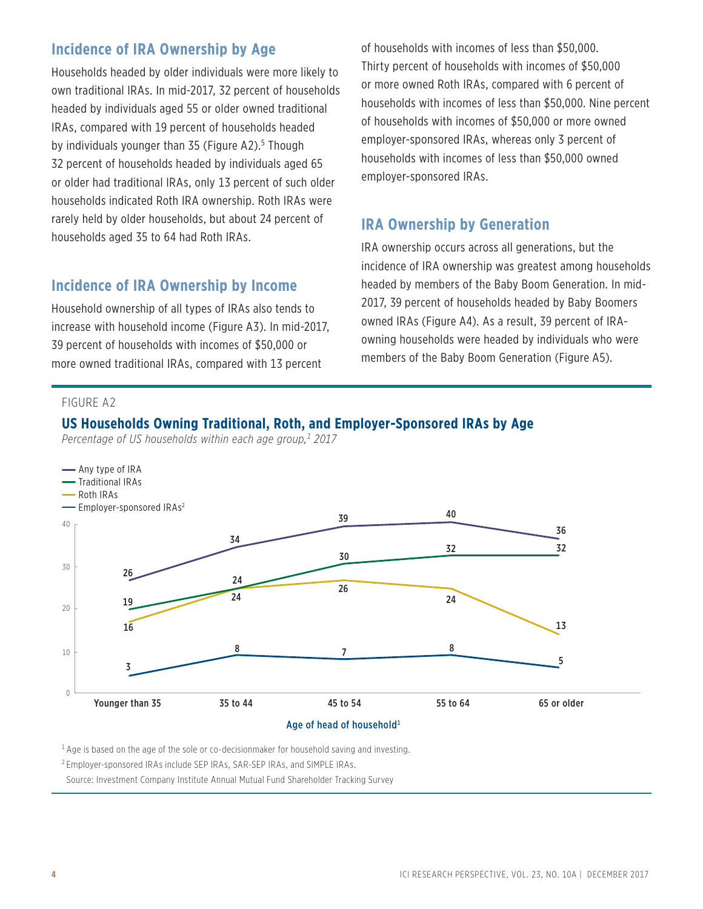### **Incidence of IRA Ownership by Age**

Households headed by older individuals were more likely to own traditional IRAs. In mid-2017, 32 percent of households headed by individuals aged 55 or older owned traditional IRAs, compared with 19 percent of households headed by individuals younger than 35 (Figure A2).<sup>5</sup> Though 32 percent of households headed by individuals aged 65 or older had traditional IRAs, only 13 percent of such older households indicated Roth IRA ownership. Roth IRAs were rarely held by older households, but about 24 percent of households aged 35 to 64 had Roth IRAs.

### **Incidence of IRA Ownership by Income**

Household ownership of all types of IRAs also tends to increase with household income (Figure A3). In mid-2017, 39 percent of households with incomes of \$50,000 or more owned traditional IRAs, compared with 13 percent

of households with incomes of less than \$50,000. Thirty percent of households with incomes of \$50,000 or more owned Roth IRAs, compared with 6 percent of households with incomes of less than \$50,000. Nine percent of households with incomes of \$50,000 or more owned employer-sponsored IRAs, whereas only 3 percent of households with incomes of less than \$50,000 owned employer-sponsored IRAs.

### **IRA Ownership by Generation**

IRA ownership occurs across all generations, but the incidence of IRA ownership was greatest among households headed by members of the Baby Boom Generation. In mid-2017, 39 percent of households headed by Baby Boomers owned IRAs (Figure A4). As a result, 39 percent of IRAowning households were headed by individuals who were members of the Baby Boom Generation (Figure A5).

#### FIGURE A2

### **US Households Owning Traditional, Roth, and Employer-Sponsored IRAs by Age**

*Percentage of US households within each age group,1 2017*



 $<sup>1</sup>$  Age is based on the age of the sole or co-decisionmaker for household saving and investing.</sup>

2 Employer-sponsored IRAs include SEP IRAs, SAR-SEP IRAs, and SIMPLE IRAs.

Source: Investment Company Institute Annual Mutual Fund Shareholder Tracking Survey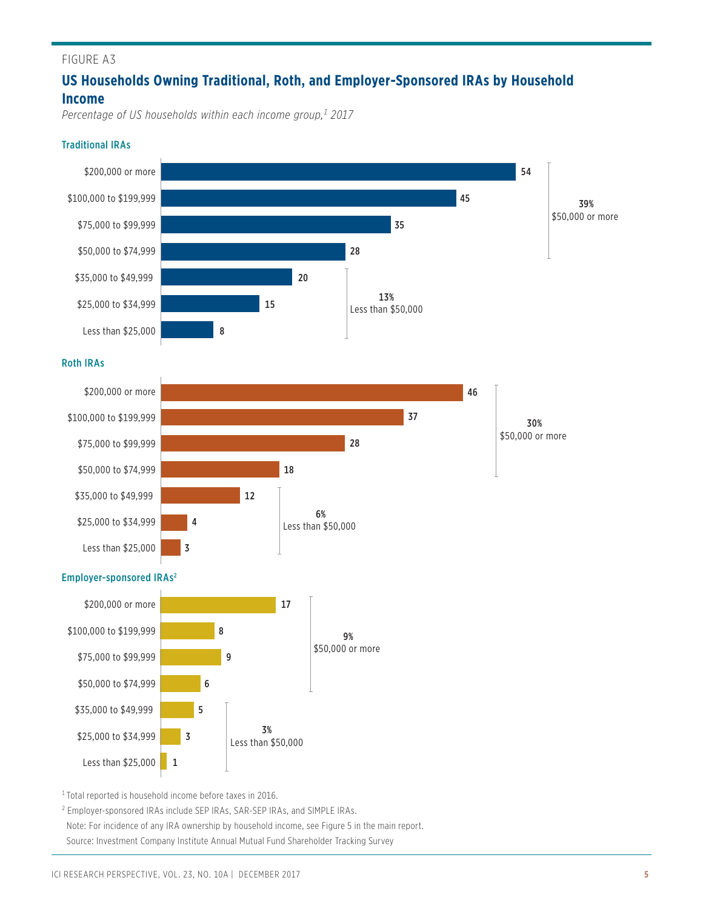# **US Households Owning Traditional, Roth, and Employer-Sponsored IRAs by Household Income**

*Percentage of US households within each income group,1 2017*

#### Traditional IRAs



1 Total reported is household income before taxes in 2016.

<sup>2</sup> Employer-sponsored IRAs include SEP IRAs, SAR-SEP IRAs, and SIMPLE IRAs. Note: For incidence of any IRA ownership by household income, see Figure 5 in the main report. Source: Investment Company Institute Annual Mutual Fund Shareholder Tracking Survey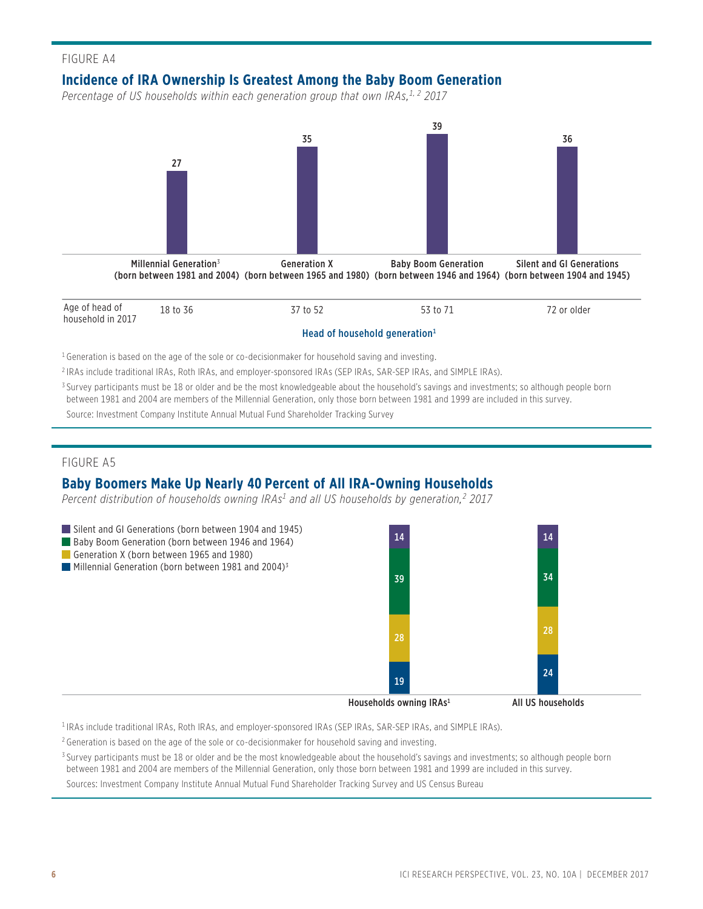### **Incidence of IRA Ownership Is Greatest Among the Baby Boom Generation**

Percentage of US households within each generation group that own IRAs,<sup>1, 2</sup> 2017



 $^3$  Survey participants must be 18 or older and be the most knowledgeable about the household's savings and investments; so although people born between 1981 and 2004 are members of the Millennial Generation, only those born between 1981 and 1999 are included in this survey.

Source: Investment Company Institute Annual Mutual Fund Shareholder Tracking Survey

#### FIGURE A5

### **Baby Boomers Make Up Nearly 40 Percent of All IRA-Owning Households**

*Percent distribution of households owning IRAs1 and all US households by generation,2 2017*



1 IRAs include traditional IRAs, Roth IRAs, and employer-sponsored IRAs (SEP IRAs, SAR-SEP IRAs, and SIMPLE IRAs).

2 Generation is based on the age of the sole or co-decisionmaker for household saving and investing.

 $^3$  Survey participants must be 18 or older and be the most knowledgeable about the household's savings and investments; so although people born between 1981 and 2004 are members of the Millennial Generation, only those born between 1981 and 1999 are included in this survey.

Sources: Investment Company Institute Annual Mutual Fund Shareholder Tracking Survey and US Census Bureau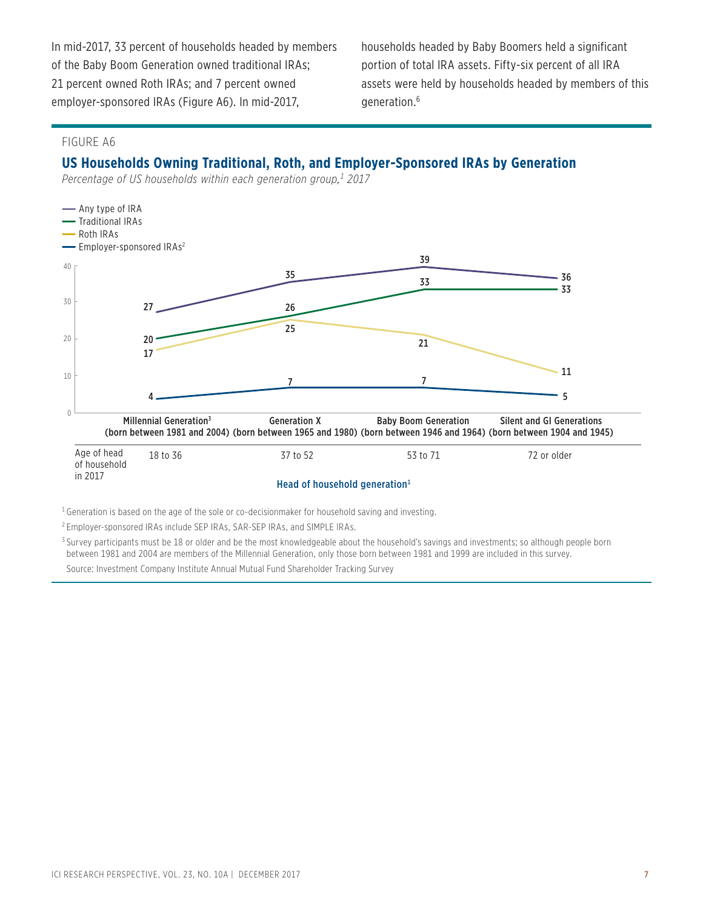In mid-2017, 33 percent of households headed by members of the Baby Boom Generation owned traditional IRAs; 21 percent owned Roth IRAs; and 7 percent owned employer-sponsored IRAs (Figure A6). In mid-2017,

households headed by Baby Boomers held a significant portion of total IRA assets. Fifty-six percent of all IRA assets were held by households headed by members of this generation.6

#### FIGURE A6

### **US Households Owning Traditional, Roth, and Employer-Sponsored IRAs by Generation**

*Percentage of US households within each generation group,1 2017*



 $^1$ Generation is based on the age of the sole or co-decisionmaker for household saving and investing.

2 Employer-sponsored IRAs include SEP IRAs, SAR-SEP IRAs, and SIMPLE IRAs.

 $^3$  Survey participants must be 18 or older and be the most knowledgeable about the household's savings and investments; so although people born between 1981 and 2004 are members of the Millennial Generation, only those born between 1981 and 1999 are included in this survey. Source: Investment Company Institute Annual Mutual Fund Shareholder Tracking Survey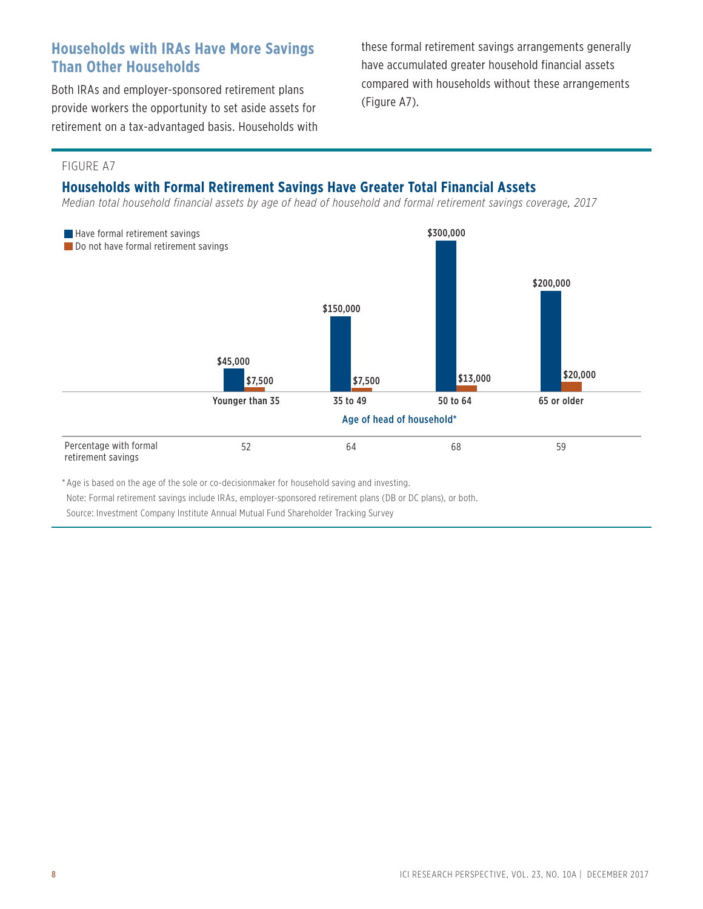# **Households with IRAs Have More Savings Than Other Households**

Both IRAs and employer-sponsored retirement plans provide workers the opportunity to set aside assets for retirement on a tax-advantaged basis. Households with these formal retirement savings arrangements generally have accumulated greater household financial assets compared with households without these arrangements (Figure A7).

#### FIGURE A7

### **Households with Formal Retirement Savings Have Greater Total Financial Assets**

*Median total household financial assets by age of head of household and formal retirement savings coverage, 2017*



\* Age is based on the age of the sole or co-decisionmaker for household saving and investing.

Note: Formal retirement savings include IRAs, employer-sponsored retirement plans (DB or DC plans), or both.

Source: Investment Company Institute Annual Mutual Fund Shareholder Tracking Survey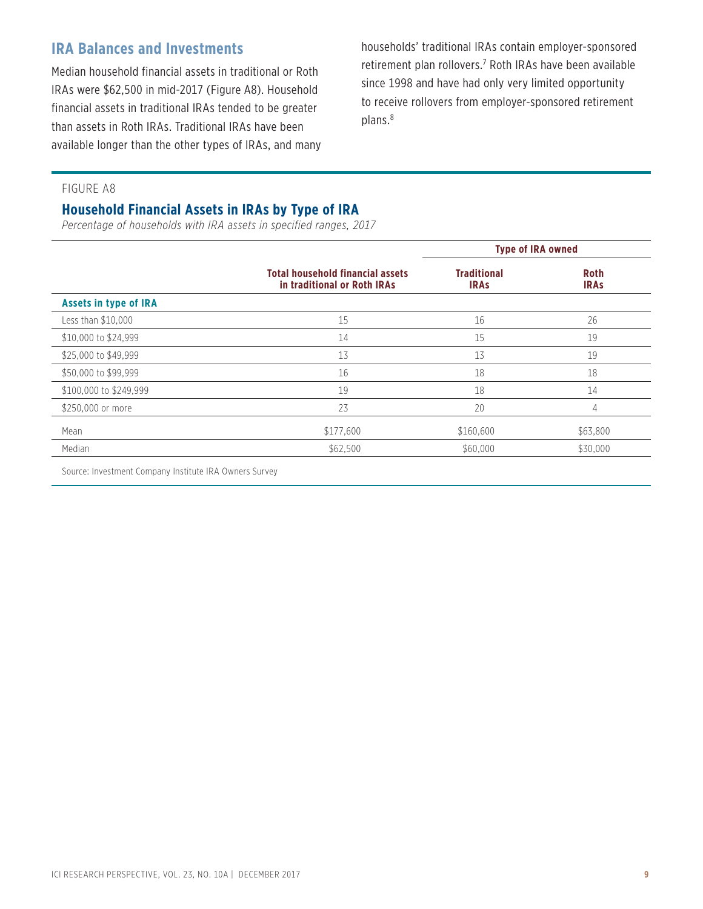# **IRA Balances and Investments**

Median household financial assets in traditional or Roth IRAs were \$62,500 in mid-2017 (Figure A8). Household financial assets in traditional IRAs tended to be greater than assets in Roth IRAs. Traditional IRAs have been available longer than the other types of IRAs, and many households' traditional IRAs contain employer-sponsored retirement plan rollovers.<sup>7</sup> Roth IRAs have been available since 1998 and have had only very limited opportunity to receive rollovers from employer-sponsored retirement plans.8

#### FIGURE A8

### **Household Financial Assets in IRAs by Type of IRA**

*Percentage of households with IRA assets in specified ranges, 2017*

|                              |                                                                        | <b>Type of IRA owned</b>          |                            |
|------------------------------|------------------------------------------------------------------------|-----------------------------------|----------------------------|
|                              | <b>Total household financial assets</b><br>in traditional or Roth IRAs | <b>Traditional</b><br><b>IRAS</b> | <b>Roth</b><br><b>IRAS</b> |
| <b>Assets in type of IRA</b> |                                                                        |                                   |                            |
| Less than \$10,000           | 15                                                                     | 16                                | 26                         |
| \$10,000 to \$24,999         | 14                                                                     | 15                                | 19                         |
| \$25,000 to \$49,999         | 13                                                                     | 13                                | 19                         |
| \$50,000 to \$99,999         | 16                                                                     | 18                                | 18                         |
| \$100,000 to \$249,999       | 19                                                                     | 18                                | 14                         |
| \$250,000 or more            | 23                                                                     | 20                                | 4                          |
| Mean                         | \$177,600                                                              | \$160,600                         | \$63,800                   |
| Median                       | \$62,500                                                               | \$60,000                          | \$30,000                   |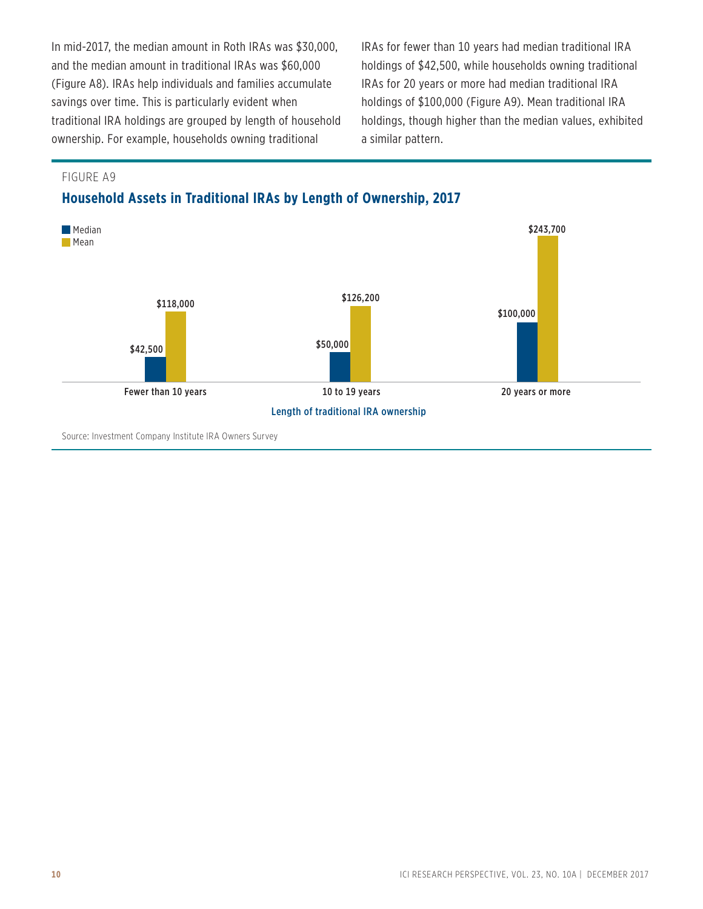In mid-2017, the median amount in Roth IRAs was \$30,000, and the median amount in traditional IRAs was \$60,000 (Figure A8). IRAs help individuals and families accumulate savings over time. This is particularly evident when traditional IRA holdings are grouped by length of household ownership. For example, households owning traditional

IRAs for fewer than 10 years had median traditional IRA holdings of \$42,500, while households owning traditional IRAs for 20 years or more had median traditional IRA holdings of \$100,000 (Figure A9). Mean traditional IRA holdings, though higher than the median values, exhibited a similar pattern.

FIGURE A9

### **Household Assets in Traditional IRAs by Length of Ownership, 2017**

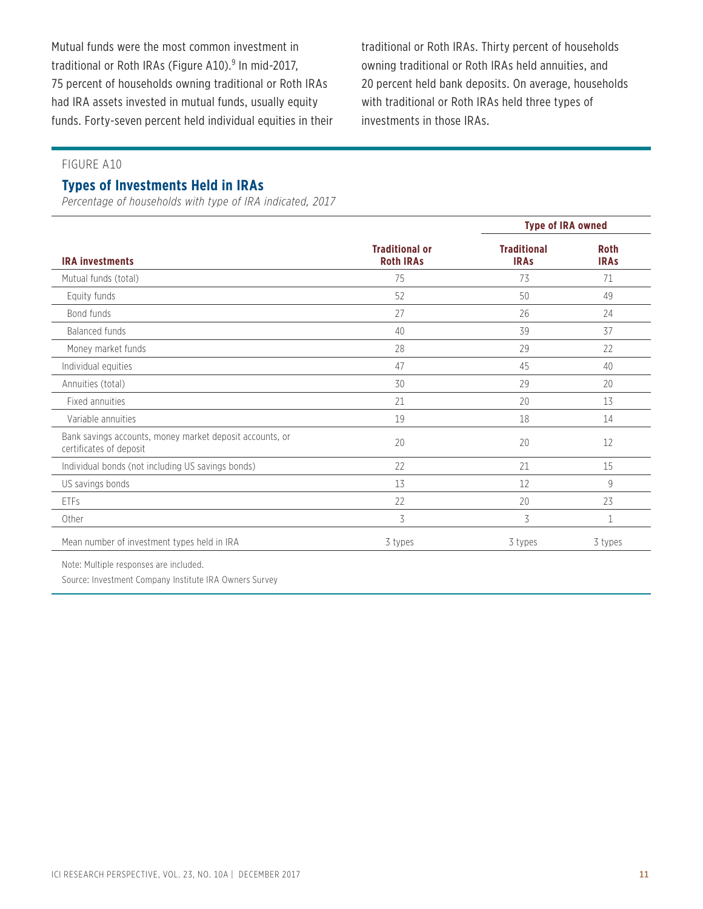Mutual funds were the most common investment in traditional or Roth IRAs (Figure A10).<sup>9</sup> In mid-2017, 75 percent of households owning traditional or Roth IRAs had IRA assets invested in mutual funds, usually equity funds. Forty-seven percent held individual equities in their traditional or Roth IRAs. Thirty percent of households owning traditional or Roth IRAs held annuities, and 20 percent held bank deposits. On average, households with traditional or Roth IRAs held three types of investments in those IRAs.

#### FIGURE A10

#### **Types of Investments Held in IRAs**

*Percentage of households with type of IRA indicated, 2017*

|                                                                                     |                                           | <b>Type of IRA owned</b>          |                            |  |
|-------------------------------------------------------------------------------------|-------------------------------------------|-----------------------------------|----------------------------|--|
| <b>IRA investments</b>                                                              | <b>Traditional or</b><br><b>Roth IRAs</b> | <b>Traditional</b><br><b>IRAs</b> | <b>Roth</b><br><b>IRAs</b> |  |
| Mutual funds (total)                                                                | 75                                        | 73                                | 71                         |  |
| Equity funds                                                                        | 52                                        | 50                                | 49                         |  |
| Bond funds                                                                          | 27                                        | 26                                | 24                         |  |
| Balanced funds                                                                      | 40                                        | 39                                | 37                         |  |
| Money market funds                                                                  | 28                                        | 29                                | 22                         |  |
| Individual equities                                                                 | 47                                        | 45                                | 40                         |  |
| Annuities (total)                                                                   | 30                                        | 29                                | 20                         |  |
| Fixed annuities                                                                     | 21                                        | 20                                | 13                         |  |
| Variable annuities                                                                  | 19                                        | 18                                | 14                         |  |
| Bank savings accounts, money market deposit accounts, or<br>certificates of deposit | 20                                        | 20                                | 12                         |  |
| Individual bonds (not including US savings bonds)                                   | 22                                        | 21                                | 15                         |  |
| US savings bonds                                                                    | 13                                        | 12                                | 9                          |  |
| <b>ETFs</b>                                                                         | 22                                        | 20                                | 23                         |  |
| Other                                                                               | 3                                         | 3                                 | $\mathbf 1$                |  |
| Mean number of investment types held in IRA                                         | 3 types                                   | 3 types                           | 3 types                    |  |

Note: Multiple responses are included.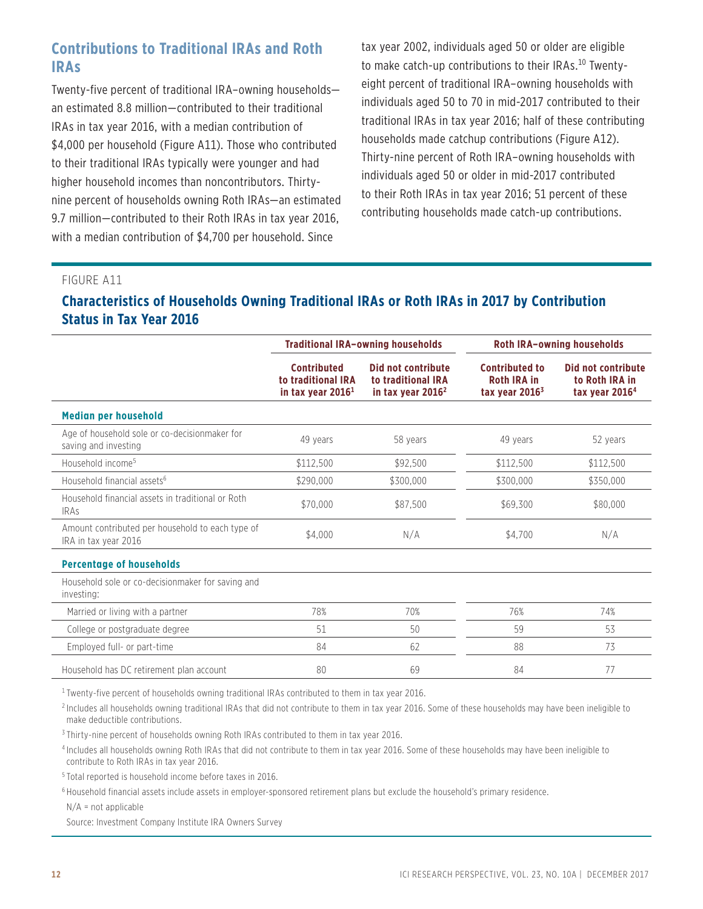# **Contributions to Traditional IRAs and Roth IRAs**

Twenty-five percent of traditional IRA–owning households an estimated 8.8 million—contributed to their traditional IRAs in tax year 2016, with a median contribution of \$4,000 per household (Figure A11). Those who contributed to their traditional IRAs typically were younger and had higher household incomes than noncontributors. Thirtynine percent of households owning Roth IRAs—an estimated 9.7 million—contributed to their Roth IRAs in tax year 2016, with a median contribution of \$4,700 per household. Since

tax year 2002, individuals aged 50 or older are eligible to make catch-up contributions to their IRAs.<sup>10</sup> Twentyeight percent of traditional IRA–owning households with individuals aged 50 to 70 in mid-2017 contributed to their traditional IRAs in tax year 2016; half of these contributing households made catchup contributions (Figure A12). Thirty-nine percent of Roth IRA–owning households with individuals aged 50 or older in mid-2017 contributed to their Roth IRAs in tax year 2016; 51 percent of these contributing households made catch-up contributions.

#### FIGURE A11

### **Characteristics of Households Owning Traditional IRAs or Roth IRAs in 2017 by Contribution Status in Tax Year 2016**

|                                                                          | <b>Traditional IRA-owning households</b>                        |                                                                 | <b>Roth IRA-owning households</b>                               |                                                          |  |
|--------------------------------------------------------------------------|-----------------------------------------------------------------|-----------------------------------------------------------------|-----------------------------------------------------------------|----------------------------------------------------------|--|
|                                                                          | <b>Contributed</b><br>to traditional IRA<br>in tax year $20161$ | Did not contribute<br>to traditional IRA<br>in tax year $20162$ | <b>Contributed to</b><br><b>Roth IRA in</b><br>tax year $20163$ | Did not contribute<br>to Roth IRA in<br>tax year $20164$ |  |
| <b>Median per household</b>                                              |                                                                 |                                                                 |                                                                 |                                                          |  |
| Age of household sole or co-decisionmaker for<br>saving and investing    | 49 years                                                        | 58 years                                                        | 49 years                                                        | 52 years                                                 |  |
| Household income <sup>5</sup>                                            | \$112,500                                                       | \$92,500                                                        | \$112,500                                                       | \$112,500                                                |  |
| Household financial assets <sup>6</sup>                                  | \$290,000                                                       | \$300,000                                                       | \$300,000                                                       | \$350,000                                                |  |
| Household financial assets in traditional or Roth<br><b>IRAS</b>         | \$70,000                                                        | \$87,500                                                        | \$69,300                                                        | \$80,000                                                 |  |
| Amount contributed per household to each type of<br>IRA in tax year 2016 | \$4.000                                                         | N/A                                                             | \$4,700                                                         | N/A                                                      |  |
| <b>Percentage of households</b>                                          |                                                                 |                                                                 |                                                                 |                                                          |  |
| Household sole or co-decisionmaker for saving and<br>investing:          |                                                                 |                                                                 |                                                                 |                                                          |  |
| Married or living with a partner                                         | 78%                                                             | 70%                                                             | 76%                                                             | 74%                                                      |  |
| College or postgraduate degree                                           | 51                                                              | 50                                                              | 59                                                              | 53                                                       |  |
| Employed full- or part-time                                              | 84                                                              | 62                                                              | 88                                                              | 73                                                       |  |
| Household has DC retirement plan account                                 | 80                                                              | 69                                                              | 84                                                              | 77                                                       |  |

<sup>1</sup> Twenty-five percent of households owning traditional IRAs contributed to them in tax year 2016.

2 Includes all households owning traditional IRAs that did not contribute to them in tax year 2016. Some of these households may have been ineligible to make deductible contributions.

<sup>3</sup> Thirty-nine percent of households owning Roth IRAs contributed to them in tax year 2016.

4 Includes all households owning Roth IRAs that did not contribute to them in tax year 2016. Some of these households may have been ineligible to contribute to Roth IRAs in tax year 2016.

5 Total reported is household income before taxes in 2016.

 $^6$ Household financial assets include assets in employer-sponsored retirement plans but exclude the household's primary residence.

N/A = not applicable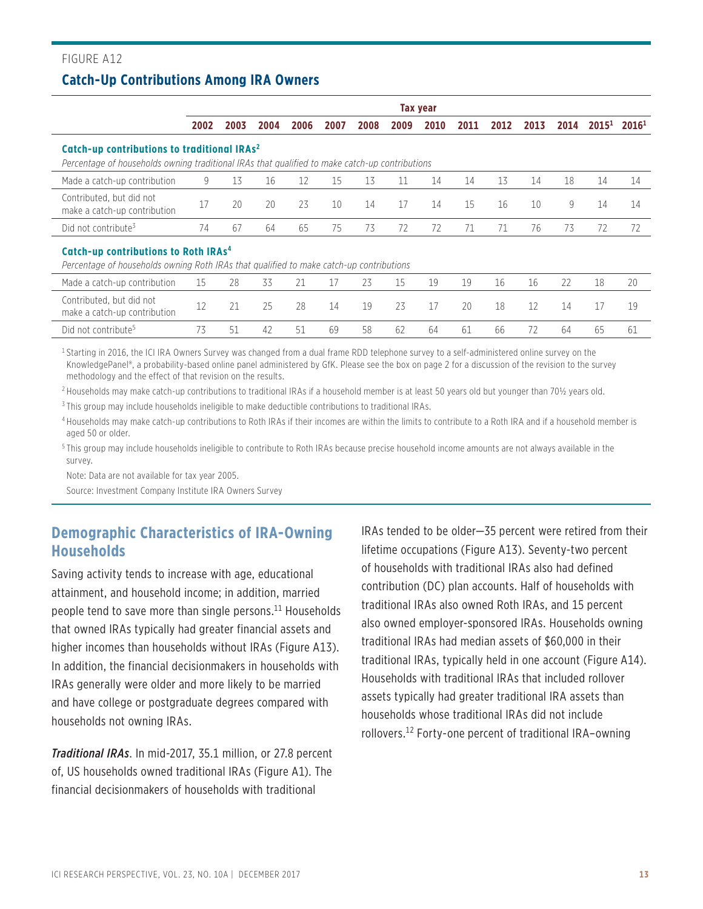### FIGURE A12 **Catch-Up Contributions Among IRA Owners**

|                                                                                                                                                           |      |      |      |      |      |      |      | <b>Tax year</b> |      |      |      |      |          |                   |
|-----------------------------------------------------------------------------------------------------------------------------------------------------------|------|------|------|------|------|------|------|-----------------|------|------|------|------|----------|-------------------|
|                                                                                                                                                           | 2002 | 2003 | 2004 | 2006 | 2007 | 2008 | 2009 | 2010            | 2011 | 2012 | 2013 | 2014 | $2015^1$ | 2016 <sup>1</sup> |
| Catch-up contributions to traditional IRAs <sup>2</sup><br>Percentage of households owning traditional IRAs that qualified to make catch-up contributions |      |      |      |      |      |      |      |                 |      |      |      |      |          |                   |
| Made a catch-up contribution                                                                                                                              | 9    | 13   | 16   | 12   | 15   | 13   | 11   | 14              | 14   | 13   | 14   | 18   | 14       | 14                |
| Contributed, but did not<br>make a catch-up contribution                                                                                                  | 17   | 20   | 20   | 23   | 10   | 14   | 17   | 14              | 15   | 16   | 10   | 9    | 14       | 14                |
| Did not contribute <sup>3</sup>                                                                                                                           | 74   | 67   | 64   | 65   | 75   | 73   | 72   | 72              | 71   | 71   | 76   | 73   | 72       | 72                |
| Catch-up contributions to Roth IRAs <sup>4</sup><br>Percentage of households owning Roth IRAs that qualified to make catch-up contributions               |      |      |      |      |      |      |      |                 |      |      |      |      |          |                   |
| Made a catch-up contribution                                                                                                                              | 15   | 28   | 33   | 21   | 17   | 23   | 15   | 19              | 19   | 16   | 16   | 22   | 18       | 20                |
| Contributed, but did not<br>make a catch-up contribution                                                                                                  | 12   | 21   | 25   | 28   | 14   | 19   | 23   | 17              | 20   | 18   | 12   | 14   | 17       | 19                |
| Did not contribute <sup>5</sup>                                                                                                                           | 73   | 51   | 42   | 51   | 69   | 58   | 62   | 64              | 61   | 66   | 72   | 64   | 65       | 61                |

1 Starting in 2016, the ICI IRA Owners Survey was changed from a dual frame RDD telephone survey to a self-administered online survey on the KnowledgePanel®, a probability-based online panel administered by GfK. Please see the box on page 2 for a discussion of the revision to the survey methodology and the effect of that revision on the results.

2 Households may make catch-up contributions to traditional IRAs if a household member is at least 50 years old but younger than 70½ years old.

3 This group may include households ineligible to make deductible contributions to traditional IRAs.

4 Households may make catch-up contributions to Roth IRAs if their incomes are within the limits to contribute to a Roth IRA and if a household member is aged 50 or older.

5 This group may include households ineligible to contribute to Roth IRAs because precise household income amounts are not always available in the survey.

Note: Data are not available for tax year 2005.

Source: Investment Company Institute IRA Owners Survey

### **Demographic Characteristics of IRA-Owning Households**

Saving activity tends to increase with age, educational attainment, and household income; in addition, married people tend to save more than single persons. $11$  Households that owned IRAs typically had greater financial assets and higher incomes than households without IRAs (Figure A13). In addition, the financial decisionmakers in households with IRAs generally were older and more likely to be married and have college or postgraduate degrees compared with households not owning IRAs.

*Traditional IRAs*. In mid-2017, 35.1 million, or 27.8 percent of, US households owned traditional IRAs (Figure A1). The financial decisionmakers of households with traditional

IRAs tended to be older—35 percent were retired from their lifetime occupations (Figure A13). Seventy-two percent of households with traditional IRAs also had defined contribution (DC) plan accounts. Half of households with traditional IRAs also owned Roth IRAs, and 15 percent also owned employer-sponsored IRAs. Households owning traditional IRAs had median assets of \$60,000 in their traditional IRAs, typically held in one account (Figure A14). Households with traditional IRAs that included rollover assets typically had greater traditional IRA assets than households whose traditional IRAs did not include rollovers.12 Forty-one percent of traditional IRA–owning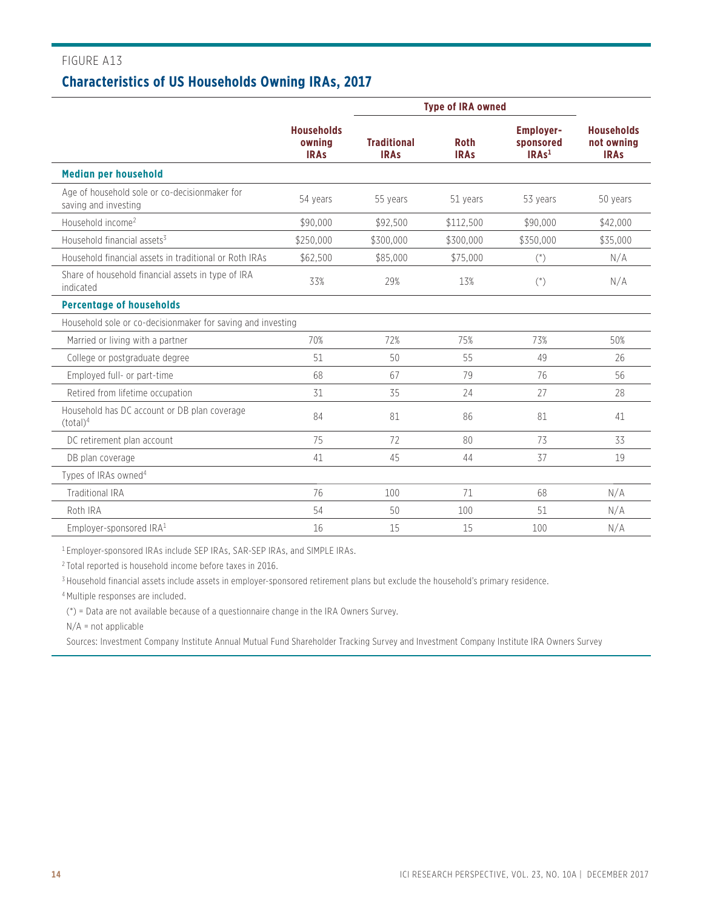### **Characteristics of US Households Owning IRAs, 2017**

|                                                                       |                                            |                                   | <b>Type of IRA owned</b>   |                                                    |                                                |
|-----------------------------------------------------------------------|--------------------------------------------|-----------------------------------|----------------------------|----------------------------------------------------|------------------------------------------------|
|                                                                       | <b>Households</b><br>owning<br><b>IRAS</b> | <b>Traditional</b><br><b>IRAS</b> | <b>Roth</b><br><b>IRAS</b> | <b>Employer-</b><br>sponsored<br>IRAs <sup>1</sup> | <b>Households</b><br>not owning<br><b>IRAs</b> |
| <b>Median per household</b>                                           |                                            |                                   |                            |                                                    |                                                |
| Age of household sole or co-decisionmaker for<br>saving and investing | 54 years                                   | 55 years                          | 51 years                   | 53 years                                           | 50 years                                       |
| Household income <sup>2</sup>                                         | \$90,000                                   | \$92,500                          | \$112,500                  | \$90,000                                           | \$42,000                                       |
| Household financial assets <sup>3</sup>                               | \$250,000                                  | \$300,000                         | \$300,000                  | \$350,000                                          | \$35,000                                       |
| Household financial assets in traditional or Roth IRAs                | \$62,500                                   | \$85,000                          | \$75,000                   | $($ <sup>*</sup> $)$                               | N/A                                            |
| Share of household financial assets in type of IRA<br>indicated       | 33%                                        | 29%                               | 13%                        | $($ <sup>*</sup> )                                 | N/A                                            |
| <b>Percentage of households</b>                                       |                                            |                                   |                            |                                                    |                                                |
| Household sole or co-decisionmaker for saving and investing           |                                            |                                   |                            |                                                    |                                                |
| Married or living with a partner                                      | 70%                                        | 72%                               | 75%                        | 73%                                                | 50%                                            |
| College or postgraduate degree                                        | 51                                         | 50                                | 55                         | 49                                                 | 26                                             |
| Employed full- or part-time                                           | 68                                         | 67                                | 79                         | 76                                                 | 56                                             |
| Retired from lifetime occupation                                      | 31                                         | 35                                | 24                         | 27                                                 | 28                                             |
| Household has DC account or DB plan coverage<br>(total) <sup>4</sup>  | 84                                         | 81                                | 86                         | 81                                                 | 41                                             |
| DC retirement plan account                                            | 75                                         | 72                                | 80                         | 73                                                 | 33                                             |
| DB plan coverage                                                      | 41                                         | 45                                | 44                         | 37                                                 | 19                                             |
| Types of IRAs owned <sup>4</sup>                                      |                                            |                                   |                            |                                                    |                                                |
| <b>Traditional IRA</b>                                                | 76                                         | 100                               | 71                         | 68                                                 | N/A                                            |
| Roth IRA                                                              | 54                                         | 50                                | 100                        | 51                                                 | N/A                                            |
| Employer-sponsored IRA <sup>1</sup>                                   | 16                                         | 15                                | 15                         | 100                                                | N/A                                            |

1 Employer-sponsored IRAs include SEP IRAs, SAR-SEP IRAs, and SIMPLE IRAs.

2 Total reported is household income before taxes in 2016.

<sup>3</sup> Household financial assets include assets in employer-sponsored retirement plans but exclude the household's primary residence.

4 Multiple responses are included.

(\*) = Data are not available because of a questionnaire change in the IRA Owners Survey.

N/A = not applicable

Sources: Investment Company Institute Annual Mutual Fund Shareholder Tracking Survey and Investment Company Institute IRA Owners Survey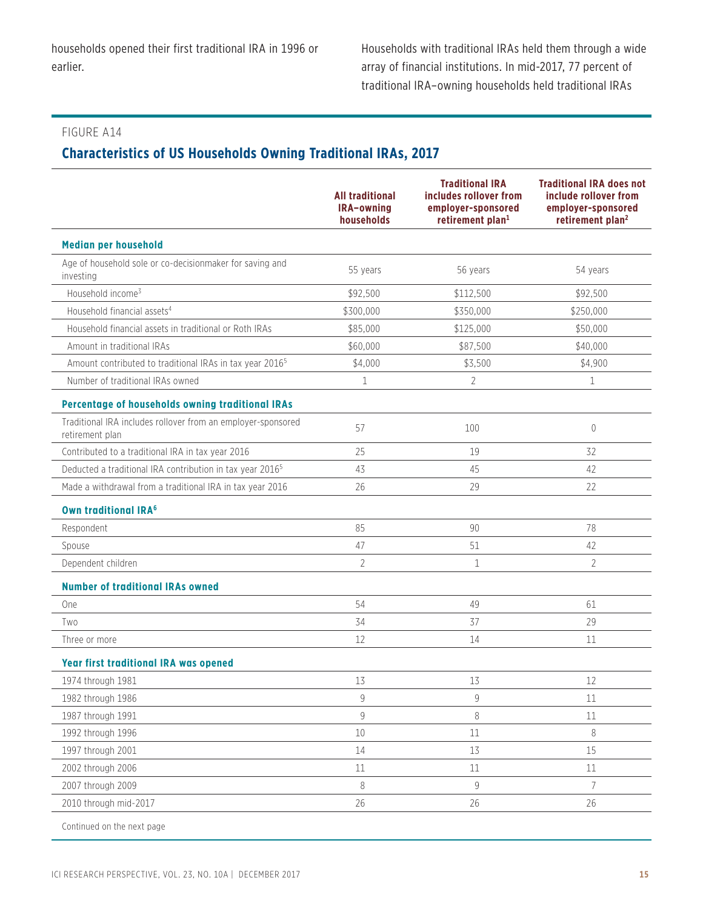# **Characteristics of US Households Owning Traditional IRAs, 2017**

|                                                                                 | <b>All traditional</b><br>IRA-owning<br>households | <b>Traditional IRA</b><br>includes rollover from<br>employer-sponsored<br>retirement plan <sup>1</sup> | <b>Traditional IRA does not</b><br>include rollover from<br>employer-sponsored<br>retirement plan <sup>2</sup> |
|---------------------------------------------------------------------------------|----------------------------------------------------|--------------------------------------------------------------------------------------------------------|----------------------------------------------------------------------------------------------------------------|
| <b>Median per household</b>                                                     |                                                    |                                                                                                        |                                                                                                                |
| Age of household sole or co-decisionmaker for saving and<br>investing           | 55 years                                           | 56 years                                                                                               | 54 years                                                                                                       |
| Household income3                                                               | \$92,500                                           | \$112,500                                                                                              | \$92,500                                                                                                       |
| Household financial assets <sup>4</sup>                                         | \$300,000                                          | \$350,000                                                                                              | \$250,000                                                                                                      |
| Household financial assets in traditional or Roth IRAs                          | \$85,000                                           | \$125,000                                                                                              | \$50,000                                                                                                       |
| Amount in traditional IRAs                                                      | \$60,000                                           | \$87,500                                                                                               | \$40,000                                                                                                       |
| Amount contributed to traditional IRAs in tax year 2016 <sup>5</sup>            | \$4,000                                            | \$3,500                                                                                                | \$4,900                                                                                                        |
| Number of traditional IRAs owned                                                | 1                                                  | 2                                                                                                      | 1                                                                                                              |
| Percentage of households owning traditional IRAs                                |                                                    |                                                                                                        |                                                                                                                |
| Traditional IRA includes rollover from an employer-sponsored<br>retirement plan | 57                                                 | 100                                                                                                    | $\mathbf{0}$                                                                                                   |
| Contributed to a traditional IRA in tax year 2016                               | 25                                                 | 19                                                                                                     | 32                                                                                                             |
| Deducted a traditional IRA contribution in tax year 2016 <sup>5</sup>           | 43                                                 | 45                                                                                                     | 42                                                                                                             |
| Made a withdrawal from a traditional IRA in tax year 2016                       | 26                                                 | 29                                                                                                     | 22                                                                                                             |
| <b>Own traditional IRA<sup>6</sup></b>                                          |                                                    |                                                                                                        |                                                                                                                |
| Respondent                                                                      | 85                                                 | 90                                                                                                     | 78                                                                                                             |
| Spouse                                                                          | 47                                                 | 51                                                                                                     | 42                                                                                                             |
| Dependent children                                                              | $\overline{2}$                                     | $\mathbf{1}$                                                                                           | $\overline{2}$                                                                                                 |
| <b>Number of traditional IRAs owned</b>                                         |                                                    |                                                                                                        |                                                                                                                |
| One                                                                             | 54                                                 | 49                                                                                                     | 61                                                                                                             |
| Two                                                                             | 34                                                 | 37                                                                                                     | 29                                                                                                             |
| Three or more                                                                   | 12                                                 | 14                                                                                                     | 11                                                                                                             |
| Year first traditional IRA was opened                                           |                                                    |                                                                                                        |                                                                                                                |
| 1974 through 1981                                                               | 13                                                 | 13                                                                                                     | 12                                                                                                             |
| 1982 through 1986                                                               | 9                                                  | 9                                                                                                      | 11                                                                                                             |
| 1987 through 1991                                                               | 9                                                  | 8                                                                                                      | $11\,$                                                                                                         |
| 1992 through 1996                                                               | 10                                                 | $11\,$                                                                                                 | $\, 8$                                                                                                         |
| 1997 through 2001                                                               | 14                                                 | 13                                                                                                     | 15                                                                                                             |
| 2002 through 2006                                                               | 11                                                 | $11\,$                                                                                                 | 11                                                                                                             |
| 2007 through 2009                                                               | $\, 8$                                             | 9                                                                                                      | $\overline{7}$                                                                                                 |
| 2010 through mid-2017                                                           | 26                                                 | 26                                                                                                     | 26                                                                                                             |
| Continued on the next page                                                      |                                                    |                                                                                                        |                                                                                                                |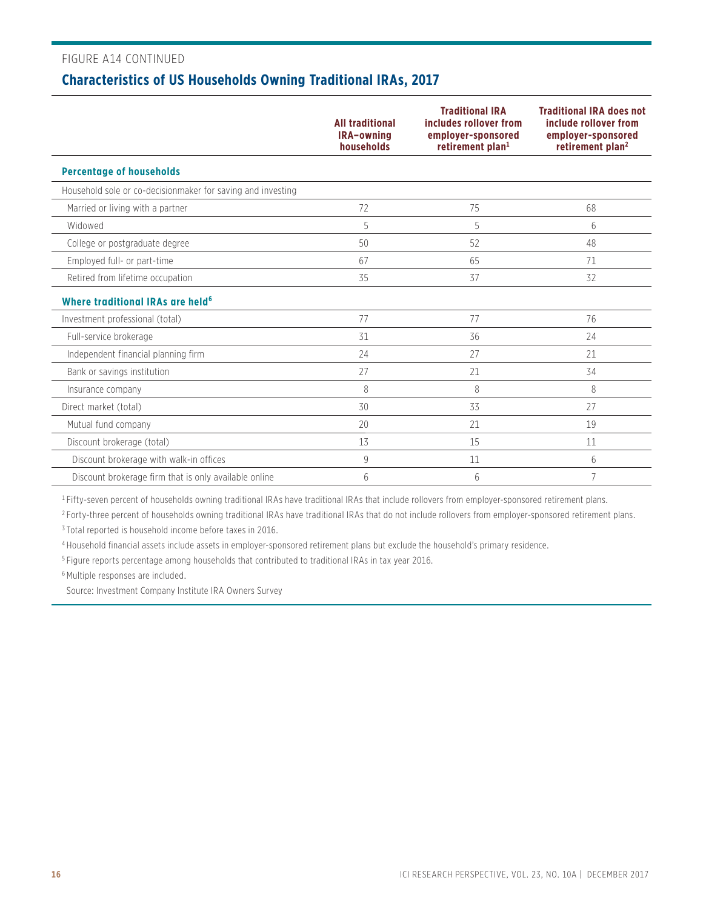#### FIGURE A14 CONTINUED

# **Characteristics of US Households Owning Traditional IRAs, 2017**

|                                                             | <b>All traditional</b><br>IRA-owning<br>households | <b>Traditional IRA</b><br>includes rollover from<br>employer-sponsored<br>retirement plan <sup>1</sup> | <b>Traditional IRA does not</b><br>include rollover from<br>employer-sponsored<br>retirement plan <sup>2</sup> |
|-------------------------------------------------------------|----------------------------------------------------|--------------------------------------------------------------------------------------------------------|----------------------------------------------------------------------------------------------------------------|
| <b>Percentage of households</b>                             |                                                    |                                                                                                        |                                                                                                                |
| Household sole or co-decisionmaker for saving and investing |                                                    |                                                                                                        |                                                                                                                |
| Married or living with a partner                            | 72                                                 | 75                                                                                                     | 68                                                                                                             |
| Widowed                                                     | 5                                                  | 5                                                                                                      | 6                                                                                                              |
| College or postgraduate degree                              | 50                                                 | 52                                                                                                     | 48                                                                                                             |
| Employed full- or part-time                                 | 67                                                 | 65                                                                                                     | 71                                                                                                             |
| Retired from lifetime occupation                            | 35                                                 | 37                                                                                                     | 32                                                                                                             |
| Where traditional IRAs are held <sup>6</sup>                |                                                    |                                                                                                        |                                                                                                                |
| Investment professional (total)                             | 77                                                 | 77                                                                                                     | 76                                                                                                             |
| Full-service brokerage                                      | 31                                                 | 36                                                                                                     | 24                                                                                                             |
| Independent financial planning firm                         | 24                                                 | 27                                                                                                     | 21                                                                                                             |
| Bank or savings institution                                 | 27                                                 | 21                                                                                                     | 34                                                                                                             |
| Insurance company                                           | 8                                                  | 8                                                                                                      | 8                                                                                                              |
| Direct market (total)                                       | 30                                                 | 33                                                                                                     | 27                                                                                                             |
| Mutual fund company                                         | 20                                                 | 21                                                                                                     | 19                                                                                                             |
| Discount brokerage (total)                                  | 13                                                 | 15                                                                                                     | 11                                                                                                             |
| Discount brokerage with walk-in offices                     | 9                                                  | 11                                                                                                     | 6                                                                                                              |
| Discount brokerage firm that is only available online       | 6                                                  | 6                                                                                                      | 7                                                                                                              |

<sup>1</sup> Fifty-seven percent of households owning traditional IRAs have traditional IRAs that include rollovers from employer-sponsored retirement plans.

<sup>2</sup> Forty-three percent of households owning traditional IRAs have traditional IRAs that do not include rollovers from employer-sponsored retirement plans. 3 Total reported is household income before taxes in 2016.

4 Household financial assets include assets in employer-sponsored retirement plans but exclude the household's primary residence.

5 Figure reports percentage among households that contributed to traditional IRAs in tax year 2016.

6 Multiple responses are included.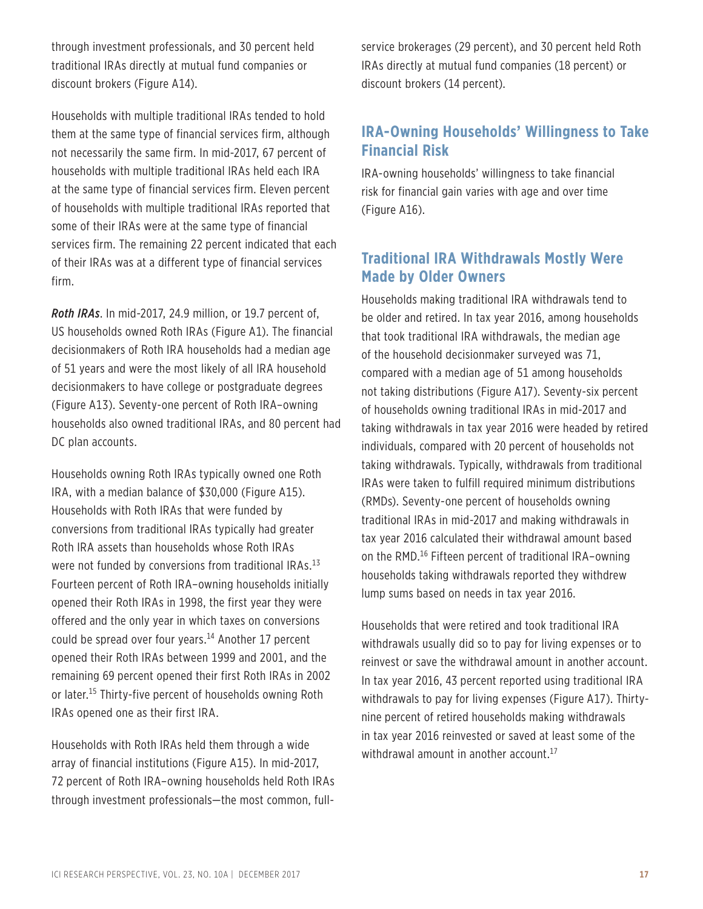through investment professionals, and 30 percent held traditional IRAs directly at mutual fund companies or discount brokers (Figure A14).

Households with multiple traditional IRAs tended to hold them at the same type of financial services firm, although not necessarily the same firm. In mid-2017, 67 percent of households with multiple traditional IRAs held each IRA at the same type of financial services firm. Eleven percent of households with multiple traditional IRAs reported that some of their IRAs were at the same type of financial services firm. The remaining 22 percent indicated that each of their IRAs was at a different type of financial services firm.

*Roth IRAs*. In mid-2017, 24.9 million, or 19.7 percent of, US households owned Roth IRAs (Figure A1). The financial decisionmakers of Roth IRA households had a median age of 51 years and were the most likely of all IRA household decisionmakers to have college or postgraduate degrees (Figure A13). Seventy-one percent of Roth IRA–owning households also owned traditional IRAs, and 80 percent had DC plan accounts.

Households owning Roth IRAs typically owned one Roth IRA, with a median balance of \$30,000 (Figure A15). Households with Roth IRAs that were funded by conversions from traditional IRAs typically had greater Roth IRA assets than households whose Roth IRAs were not funded by conversions from traditional IRAs.<sup>13</sup> Fourteen percent of Roth IRA–owning households initially opened their Roth IRAs in 1998, the first year they were offered and the only year in which taxes on conversions could be spread over four years.<sup>14</sup> Another 17 percent opened their Roth IRAs between 1999 and 2001, and the remaining 69 percent opened their first Roth IRAs in 2002 or later.<sup>15</sup> Thirty-five percent of households owning Roth IRAs opened one as their first IRA.

Households with Roth IRAs held them through a wide array of financial institutions (Figure A15). In mid-2017, 72 percent of Roth IRA–owning households held Roth IRAs through investment professionals—the most common, fullservice brokerages (29 percent), and 30 percent held Roth IRAs directly at mutual fund companies (18 percent) or discount brokers (14 percent).

### **IRA-Owning Households' Willingness to Take Financial Risk**

IRA-owning households' willingness to take financial risk for financial gain varies with age and over time (Figure A16).

### **Traditional IRA Withdrawals Mostly Were Made by Older Owners**

Households making traditional IRA withdrawals tend to be older and retired. In tax year 2016, among households that took traditional IRA withdrawals, the median age of the household decisionmaker surveyed was 71, compared with a median age of 51 among households not taking distributions (Figure A17). Seventy-six percent of households owning traditional IRAs in mid-2017 and taking withdrawals in tax year 2016 were headed by retired individuals, compared with 20 percent of households not taking withdrawals. Typically, withdrawals from traditional IRAs were taken to fulfill required minimum distributions (RMDs). Seventy-one percent of households owning traditional IRAs in mid-2017 and making withdrawals in tax year 2016 calculated their withdrawal amount based on the RMD.16 Fifteen percent of traditional IRA–owning households taking withdrawals reported they withdrew lump sums based on needs in tax year 2016.

Households that were retired and took traditional IRA withdrawals usually did so to pay for living expenses or to reinvest or save the withdrawal amount in another account. In tax year 2016, 43 percent reported using traditional IRA withdrawals to pay for living expenses (Figure A17). Thirtynine percent of retired households making withdrawals in tax year 2016 reinvested or saved at least some of the withdrawal amount in another account.<sup>17</sup>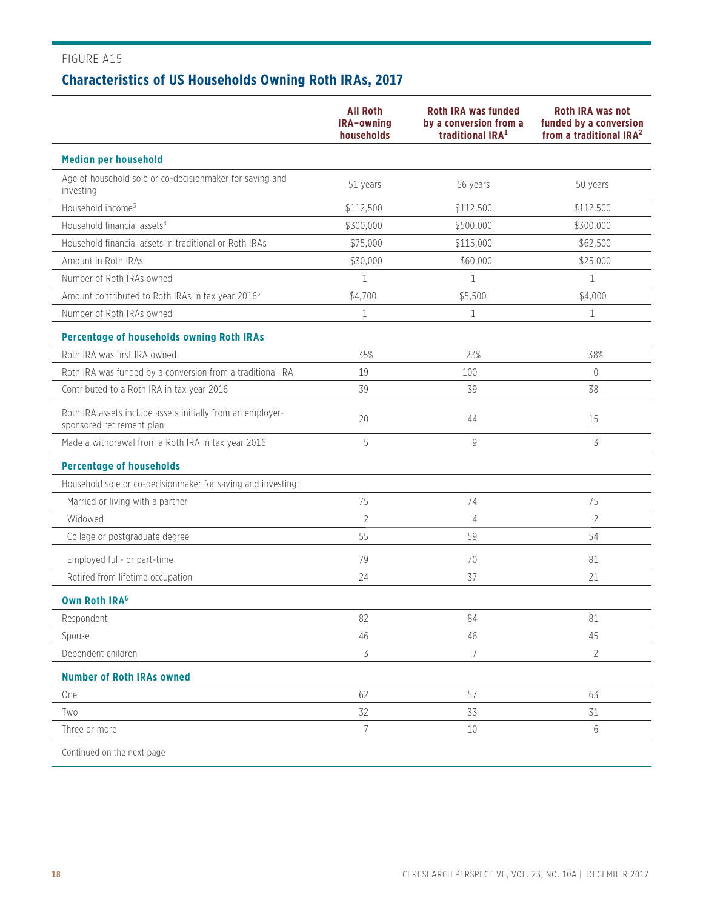# FIGURE A15 **Characteristics of US Households Owning Roth IRAs, 2017**

|                                                                                         | <b>All Roth</b><br>IRA-owning<br>households | <b>Roth IRA was funded</b><br>by a conversion from a<br>traditional IRA <sup>1</sup> | <b>Roth IRA was not</b><br>funded by a conversion<br>from a traditional IRA <sup>2</sup> |
|-----------------------------------------------------------------------------------------|---------------------------------------------|--------------------------------------------------------------------------------------|------------------------------------------------------------------------------------------|
| <b>Median per household</b>                                                             |                                             |                                                                                      |                                                                                          |
| Age of household sole or co-decisionmaker for saving and<br>investing                   | 51 years                                    | 56 years                                                                             | 50 years                                                                                 |
| Household income <sup>3</sup>                                                           | \$112,500                                   | \$112,500                                                                            | \$112,500                                                                                |
| Household financial assets <sup>4</sup>                                                 | \$300,000                                   | \$500,000                                                                            | \$300,000                                                                                |
| Household financial assets in traditional or Roth IRAs                                  | \$75,000                                    | \$115,000                                                                            | \$62,500                                                                                 |
| Amount in Roth IRAs                                                                     | \$30,000                                    | \$60,000                                                                             | \$25,000                                                                                 |
| Number of Roth IRAs owned                                                               | $\mathbf{1}$                                | $\mathbf{1}$                                                                         | $\mathbf{1}$                                                                             |
| Amount contributed to Roth IRAs in tax year 2016 <sup>5</sup>                           | \$4,700                                     | \$5,500                                                                              | \$4,000                                                                                  |
| Number of Roth IRAs owned                                                               | 1                                           | $\mathbf 1$                                                                          | $\mathbf{1}$                                                                             |
| <b>Percentage of households owning Roth IRAs</b>                                        |                                             |                                                                                      |                                                                                          |
| Roth IRA was first IRA owned                                                            | 35%                                         | 23%                                                                                  | 38%                                                                                      |
| Roth IRA was funded by a conversion from a traditional IRA                              | 19                                          | 100                                                                                  | $\overline{0}$                                                                           |
| Contributed to a Roth IRA in tax year 2016                                              | 39                                          | 39                                                                                   | 38                                                                                       |
| Roth IRA assets include assets initially from an employer-<br>sponsored retirement plan | 20                                          | 44                                                                                   | 15                                                                                       |
| Made a withdrawal from a Roth IRA in tax year 2016                                      | 5                                           | 9                                                                                    | 3                                                                                        |
| <b>Percentage of households</b>                                                         |                                             |                                                                                      |                                                                                          |
| Household sole or co-decisionmaker for saving and investing:                            |                                             |                                                                                      |                                                                                          |
| Married or living with a partner                                                        | 75                                          | 74                                                                                   | 75                                                                                       |
| Widowed                                                                                 | $\overline{2}$                              | 4                                                                                    | $\overline{2}$                                                                           |
| College or postgraduate degree                                                          | 55                                          | 59                                                                                   | 54                                                                                       |
| Employed full- or part-time                                                             | 79                                          | 70                                                                                   | 81                                                                                       |
| Retired from lifetime occupation                                                        | 24                                          | 37                                                                                   | 21                                                                                       |
| <b>Own Roth IRA<sup>6</sup></b>                                                         |                                             |                                                                                      |                                                                                          |
| Respondent                                                                              | 82                                          | 84                                                                                   | 81                                                                                       |
| Spouse                                                                                  | 46                                          | 46                                                                                   | 45                                                                                       |
| Dependent children                                                                      | 3                                           | 7                                                                                    | $\overline{2}$                                                                           |
| <b>Number of Roth IRAs owned</b>                                                        |                                             |                                                                                      |                                                                                          |
| <b>One</b>                                                                              | 62                                          | 57                                                                                   | 63                                                                                       |
| Two                                                                                     | 32                                          | 33                                                                                   | 31                                                                                       |
| Three or more                                                                           | 7                                           | 10                                                                                   | 6                                                                                        |
| Continued on the next page                                                              |                                             |                                                                                      |                                                                                          |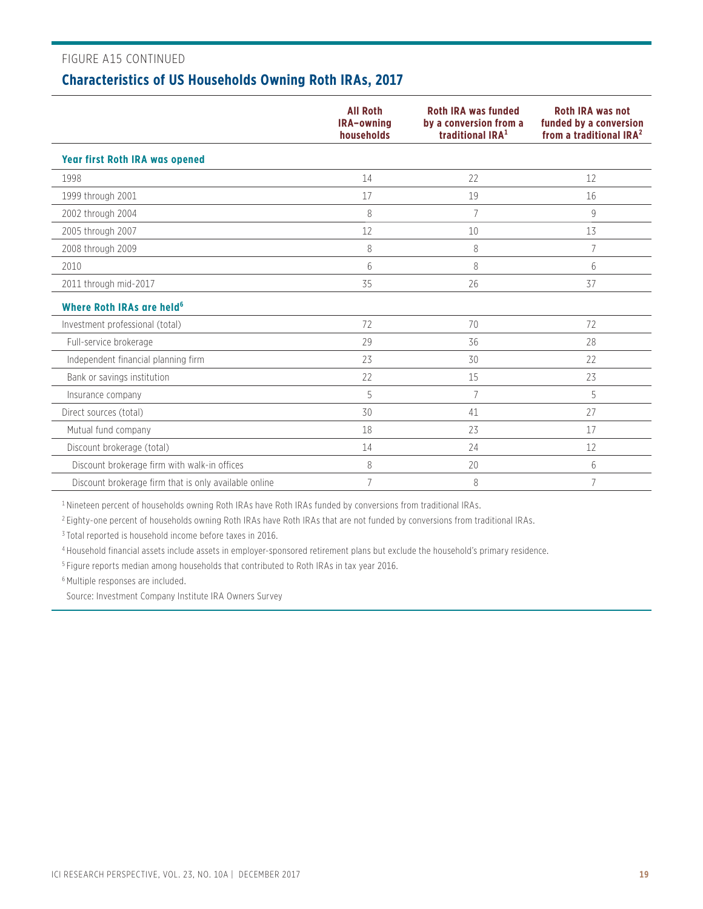### FIGURE A15 CONTINUED

### **Characteristics of US Households Owning Roth IRAs, 2017**

|                                                       | <b>All Roth</b><br>IRA-owning<br>households | <b>Roth IRA was funded</b><br>by a conversion from a<br>traditional IRA <sup>1</sup> | <b>Roth IRA was not</b><br>funded by a conversion<br>from a traditional IRA <sup>2</sup> |
|-------------------------------------------------------|---------------------------------------------|--------------------------------------------------------------------------------------|------------------------------------------------------------------------------------------|
| <b>Year first Roth IRA was opened</b>                 |                                             |                                                                                      |                                                                                          |
| 1998                                                  | 14                                          | 22                                                                                   | 12                                                                                       |
| 1999 through 2001                                     | 17                                          | 19                                                                                   | 16                                                                                       |
| 2002 through 2004                                     | 8                                           | $\overline{7}$                                                                       | 9                                                                                        |
| 2005 through 2007                                     | 12                                          | 10                                                                                   | 13                                                                                       |
| 2008 through 2009                                     | 8                                           | 8                                                                                    | 7                                                                                        |
| 2010                                                  | 6                                           | 8                                                                                    | 6                                                                                        |
| 2011 through mid-2017                                 | 35                                          | 26                                                                                   | 37                                                                                       |
| Where Roth IRAs are held <sup>6</sup>                 |                                             |                                                                                      |                                                                                          |
| Investment professional (total)                       | 72                                          | 70                                                                                   | 72                                                                                       |
| Full-service brokerage                                | 29                                          | 36                                                                                   | 28                                                                                       |
| Independent financial planning firm                   | 23                                          | 30                                                                                   | 22                                                                                       |
| Bank or savings institution                           | 22                                          | 15                                                                                   | 23                                                                                       |
| Insurance company                                     | 5                                           | $\overline{7}$                                                                       | 5                                                                                        |
| Direct sources (total)                                | 30                                          | 41                                                                                   | 27                                                                                       |
| Mutual fund company                                   | 18                                          | 23                                                                                   | 17                                                                                       |
| Discount brokerage (total)                            | 14                                          | 24                                                                                   | 12                                                                                       |
| Discount brokerage firm with walk-in offices          | 8                                           | 20                                                                                   | 6                                                                                        |
| Discount brokerage firm that is only available online | 7                                           | 8                                                                                    | 7                                                                                        |

<sup>1</sup> Nineteen percent of households owning Roth IRAs have Roth IRAs funded by conversions from traditional IRAs.

<sup>2</sup> Eighty-one percent of households owning Roth IRAs have Roth IRAs that are not funded by conversions from traditional IRAs.

3 Total reported is household income before taxes in 2016.

4 Household financial assets include assets in employer-sponsored retirement plans but exclude the household's primary residence.

5 Figure reports median among households that contributed to Roth IRAs in tax year 2016.

6 Multiple responses are included.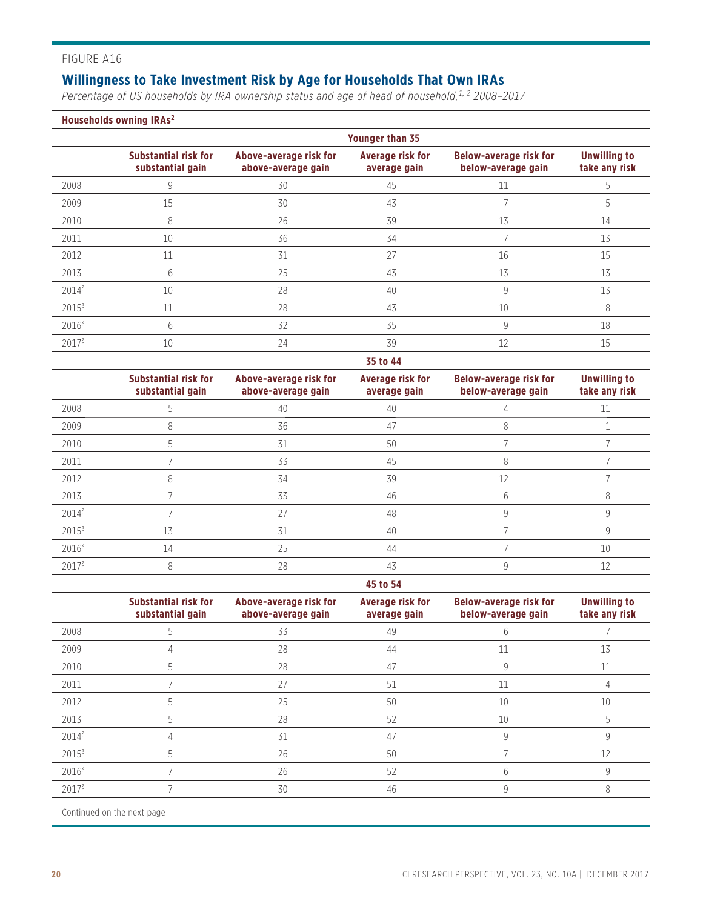### **Willingness to Take Investment Risk by Age for Households That Own IRAs**

*Percentage of US households by IRA ownership status and age of head of household,1, 2 2008–2017*

#### **Households owning IRAs2**

|          | <b>Younger than 35</b>                          |                                              |                                  |                                                     |                                      |  |  |  |
|----------|-------------------------------------------------|----------------------------------------------|----------------------------------|-----------------------------------------------------|--------------------------------------|--|--|--|
|          | <b>Substantial risk for</b><br>substantial gain | Above-average risk for<br>above-average gain | Average risk for<br>average gain | <b>Below-average risk for</b><br>below-average gain | <b>Unwilling to</b><br>take any risk |  |  |  |
| 2008     | 9                                               | 30                                           | 45                               | 11                                                  |                                      |  |  |  |
| 2009     | 15                                              | 30                                           | 43                               |                                                     | .5                                   |  |  |  |
| 2010     | 8                                               | 26                                           | 39                               | 13                                                  | 14                                   |  |  |  |
| 2011     | 10                                              | 36                                           | 34                               |                                                     | 13                                   |  |  |  |
| 2012     | 11                                              | 31                                           | 27                               | 16                                                  | 15                                   |  |  |  |
| 2013     | b                                               | 25                                           | 43                               | 13                                                  | 13                                   |  |  |  |
| $2014^3$ | 10                                              | 28                                           | 40                               | 9                                                   | 13                                   |  |  |  |
| $2015^3$ | 11                                              | 28                                           | 43                               | 10                                                  | 8                                    |  |  |  |
| $2016^3$ | 6                                               | 32                                           | 35                               | 9                                                   | 18                                   |  |  |  |
| 20173    | 10                                              | 24                                           | 39                               | 12                                                  | 15                                   |  |  |  |

#### **35 to 44**

|          | <b>Substantial risk for</b><br>substantial gain | Above-average risk for<br>above-average gain | Average risk for<br>average gain | <b>Below-average risk for</b><br>below-average gain | <b>Unwilling to</b><br>take any risk |
|----------|-------------------------------------------------|----------------------------------------------|----------------------------------|-----------------------------------------------------|--------------------------------------|
| 2008     |                                                 | 40                                           | 40                               |                                                     |                                      |
| 2009     | 8                                               | 36                                           | 47                               | 8                                                   |                                      |
| 2010     |                                                 | 31                                           | 50                               |                                                     |                                      |
| 2011     |                                                 | 33                                           | 45                               |                                                     |                                      |
| 2012     | 8                                               | 34                                           | 39                               | 12                                                  |                                      |
| 2013     |                                                 | 33                                           | 46                               | h                                                   | 8                                    |
| $2014^3$ |                                                 | 27                                           | 48                               | q                                                   |                                      |
| $2015^3$ | 13                                              | 31                                           | 40                               |                                                     |                                      |
| $2016^3$ | 14                                              | 25                                           | 44                               |                                                     | 10                                   |
| 20173    | 8                                               | 28                                           | 43                               |                                                     |                                      |

#### **45 to 54**

|                   | <b>Substantial risk for</b><br>substantial gain | Above-average risk for<br>above-average gain | <b>Average risk for</b><br>average gain | <b>Below-average risk for</b><br>below-average gain | <b>Unwilling to</b><br>take any risk |
|-------------------|-------------------------------------------------|----------------------------------------------|-----------------------------------------|-----------------------------------------------------|--------------------------------------|
| 2008              |                                                 | 33                                           | 49                                      |                                                     |                                      |
| 2009              |                                                 | 28                                           | 44                                      | 11                                                  | 13                                   |
| 2010              |                                                 | 28                                           | 47                                      |                                                     |                                      |
| 2011              |                                                 | 27                                           | 51                                      | 11                                                  |                                      |
| 2012              |                                                 | 25                                           | 50                                      | 10                                                  | 10                                   |
| 2013              |                                                 | 28                                           | 52                                      | 10                                                  |                                      |
| 20143             |                                                 | 31                                           | 47                                      |                                                     |                                      |
| 2015 <sup>3</sup> |                                                 | 26                                           | 50                                      |                                                     |                                      |
| $2016^3$          |                                                 | 26                                           | 52                                      | h                                                   |                                      |
| $2017^{3}$        |                                                 | 30                                           | 46                                      |                                                     |                                      |

Continued on the next page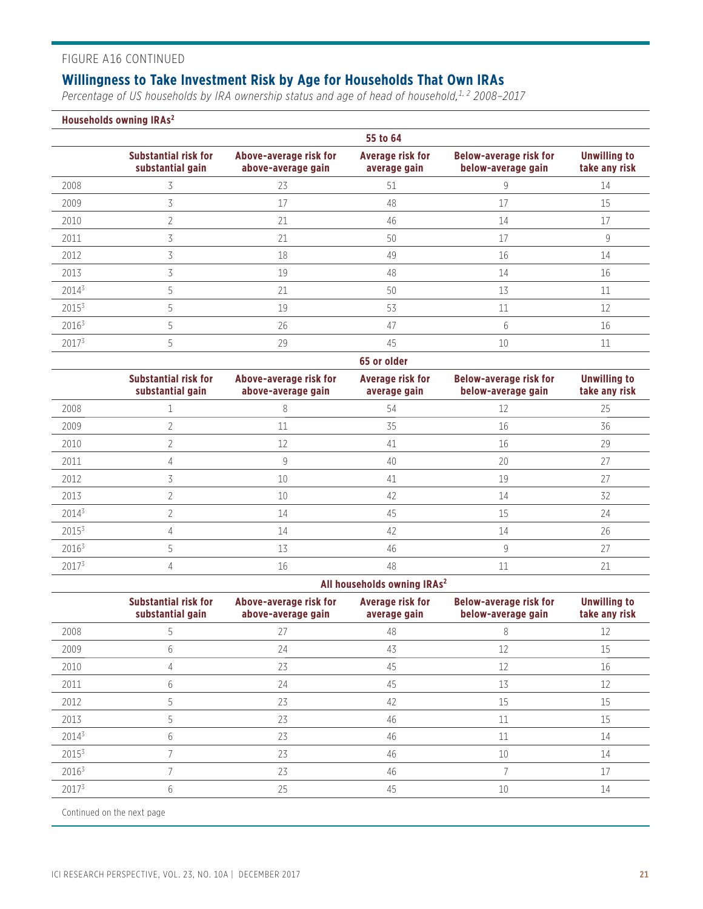### FIGURE A16 CONTINUED

### **Willingness to Take Investment Risk by Age for Households That Own IRAs**

*Percentage of US households by IRA ownership status and age of head of household,1, 2 2008–2017*

**Households owning IRAs2**

|                   | 55 to 64                                        |                                              |                                         |                                                     |                                      |
|-------------------|-------------------------------------------------|----------------------------------------------|-----------------------------------------|-----------------------------------------------------|--------------------------------------|
|                   | <b>Substantial risk for</b><br>substantial gain | Above-average risk for<br>above-average gain | <b>Average risk for</b><br>average gain | <b>Below-average risk for</b><br>below-average gain | <b>Unwilling to</b><br>take any risk |
| 2008              |                                                 | 23                                           | 51                                      |                                                     | 14                                   |
| 2009              |                                                 | 17                                           | 48                                      | 17                                                  | 15                                   |
| 2010              |                                                 | 21                                           | 46                                      | 14                                                  | 17                                   |
| 2011              |                                                 | 21                                           | 50                                      | 17                                                  | 9                                    |
| 2012              |                                                 | 18                                           | 49                                      | 16                                                  | 14                                   |
| 2013              |                                                 | 19                                           | 48                                      | 14                                                  | 16                                   |
| $2014^3$          |                                                 | 21                                           | 50                                      | 13                                                  | 11                                   |
| $2015^3$          |                                                 | 19                                           | 53                                      | 11                                                  | 12                                   |
| 2016 <sup>3</sup> |                                                 | 26                                           | 47                                      | 6                                                   | 16                                   |
| 20173             |                                                 | 29                                           | 45                                      | 10                                                  | 11                                   |

|                   |                                                 |                                              | 65 or older                             |                                                     |                                      |
|-------------------|-------------------------------------------------|----------------------------------------------|-----------------------------------------|-----------------------------------------------------|--------------------------------------|
|                   | <b>Substantial risk for</b><br>substantial gain | Above-average risk for<br>above-average gain | <b>Average risk for</b><br>average gain | <b>Below-average risk for</b><br>below-average gain | <b>Unwilling to</b><br>take any risk |
| 2008              |                                                 |                                              | 54                                      | 12                                                  | 25                                   |
| 2009              |                                                 | 11                                           | 35                                      | 16                                                  | 36                                   |
| 2010              |                                                 | 12                                           | 41                                      | 16                                                  | 29                                   |
| 2011              |                                                 | 9                                            | 40                                      | 20                                                  | 27                                   |
| 2012              |                                                 | 10                                           | 41                                      | 19                                                  | 27                                   |
| 2013              |                                                 | 10                                           | 42                                      | 14                                                  | 32                                   |
| 20143             |                                                 | 14                                           | 45                                      | 15                                                  | 24                                   |
| $2015^3$          |                                                 | 14                                           | 42                                      | 14                                                  | 26                                   |
| 2016 <sup>3</sup> |                                                 | 13                                           | 46                                      | 9                                                   | 27                                   |
| 2017 <sup>3</sup> |                                                 | 16                                           | 48                                      | 11                                                  | 21                                   |

#### **All households owning IRAs2**

|                   | <b>Substantial risk for</b><br>substantial gain | Above-average risk for<br>above-average gain | Average risk for<br>average gain | <b>Below-average risk for</b><br>below-average gain | <b>Unwilling to</b><br>take any risk |
|-------------------|-------------------------------------------------|----------------------------------------------|----------------------------------|-----------------------------------------------------|--------------------------------------|
| 2008              |                                                 | 27                                           | 48                               | 8                                                   |                                      |
| 2009              | 6                                               | 24                                           | 43                               | 12                                                  | 15                                   |
| 2010              |                                                 | 23                                           | 45                               | 12                                                  | 16                                   |
| 2011              | h                                               | 24                                           | 45                               | 13                                                  | 12                                   |
| 2012              |                                                 | 23                                           | 42                               | 15                                                  | 15                                   |
| 2013              |                                                 | 23                                           | 46                               | 11                                                  | 15                                   |
| $2014^3$          | 6                                               | 23                                           | 46                               | 11                                                  | 14                                   |
| 2015 <sup>3</sup> |                                                 | 23                                           | 46                               | 10                                                  | 14                                   |
| $2016^3$          |                                                 | 23                                           | 46                               |                                                     |                                      |
| 2017 <sup>3</sup> | <sub>b</sub>                                    | 25                                           | 45                               | 10                                                  | 14                                   |

Continued on the next page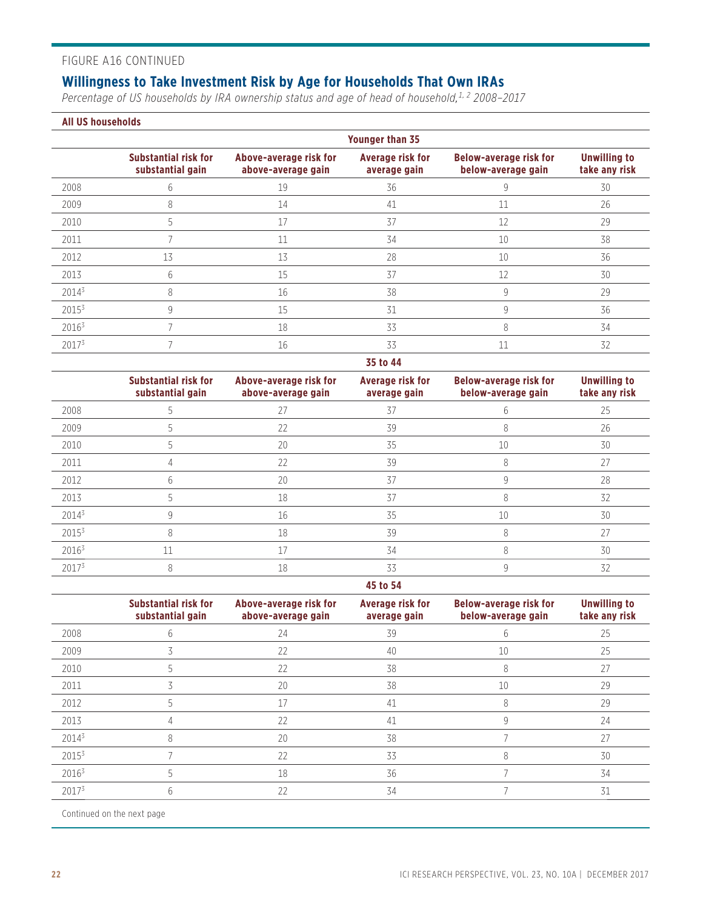#### FIGURE A16 CONTINUED

### **Willingness to Take Investment Risk by Age for Households That Own IRAs**

*Percentage of US households by IRA ownership status and age of head of household,1, 2 2008–2017*

#### **All US households**

|                   | <b>Younger than 35</b>                          |                                              |                                         |                                                     |                                      |
|-------------------|-------------------------------------------------|----------------------------------------------|-----------------------------------------|-----------------------------------------------------|--------------------------------------|
|                   | <b>Substantial risk for</b><br>substantial gain | Above-average risk for<br>above-average gain | <b>Average risk for</b><br>average gain | <b>Below-average risk for</b><br>below-average gain | <b>Unwilling to</b><br>take any risk |
| 2008              | b.                                              | 19                                           | 36                                      | 9                                                   | 30                                   |
| 2009              | 8                                               | 14                                           | 41                                      | 11                                                  | 26                                   |
| 2010              | 5                                               |                                              | 37                                      | 12                                                  | 29                                   |
| 2011              |                                                 | 11                                           | 34                                      | 10                                                  | 38                                   |
| 2012              | 13                                              | 13                                           | 28                                      | 10                                                  | 36                                   |
| 2013              | h                                               | 15                                           | 37                                      | 12                                                  | 30                                   |
| $2014^3$          |                                                 | 16                                           | 38                                      | 9                                                   | 29                                   |
| $2015^3$          | 9                                               | 15                                           | 31                                      | q                                                   | 36                                   |
| 20163             |                                                 | 18                                           | 33                                      | 8                                                   | 34                                   |
| 2017 <sup>3</sup> |                                                 | 16                                           | 33                                      | 11                                                  | 32                                   |

#### **35 to 44**

|          | <b>Substantial risk for</b><br>substantial gain | Above-average risk for<br>above-average gain | <b>Average risk for</b><br>average gain | <b>Below-average risk for</b><br>below-average gain | <b>Unwilling to</b><br>take any risk |
|----------|-------------------------------------------------|----------------------------------------------|-----------------------------------------|-----------------------------------------------------|--------------------------------------|
| 2008     |                                                 | 27                                           | 37                                      |                                                     | 25                                   |
| 2009     |                                                 | 22                                           | 39                                      | 8                                                   | 26                                   |
| 2010     |                                                 | 20                                           | 35                                      | 10                                                  | 30                                   |
| 2011     |                                                 | 22                                           | 39                                      |                                                     | 27                                   |
| 2012     | h                                               | 20                                           | 37                                      |                                                     | 28                                   |
| 2013     |                                                 | 18                                           | 37                                      |                                                     | 32                                   |
| $2014^3$ |                                                 | 16                                           | 35                                      | 10                                                  | 30                                   |
| $2015^3$ |                                                 | 18                                           | 39                                      | 8                                                   | 27                                   |
| $2016^3$ | 11                                              | 17                                           | 34                                      | 8                                                   | 30                                   |
| 20173    |                                                 | 18                                           | 33                                      |                                                     | 32                                   |

#### **45 to 54**

|          | <b>Substantial risk for</b><br>substantial gain | Above-average risk for<br>above-average gain | <b>Average risk for</b><br>average gain | <b>Below-average risk for</b><br>below-average gain | <b>Unwilling to</b><br>take any risk |
|----------|-------------------------------------------------|----------------------------------------------|-----------------------------------------|-----------------------------------------------------|--------------------------------------|
| 2008     |                                                 | 24                                           | 39                                      | 6                                                   | 25                                   |
| 2009     |                                                 | 22                                           | 40                                      | 10                                                  | 25                                   |
| 2010     |                                                 | 22                                           | 38                                      | 8                                                   | 27                                   |
| 2011     |                                                 | 20                                           | 38                                      | 10                                                  | 29                                   |
| 2012     |                                                 |                                              | 41                                      | 8                                                   | 29                                   |
| 2013     |                                                 | 22                                           | 41                                      |                                                     | 24                                   |
| 20143    |                                                 | 20                                           | 38                                      |                                                     | 27                                   |
| $2015^3$ |                                                 | 22                                           | 33                                      | 8                                                   | 30                                   |
| $2016^3$ |                                                 | 18                                           | 36                                      |                                                     | 34                                   |
| 20173    |                                                 | 22                                           | 34                                      |                                                     | 31                                   |

Continued on the next page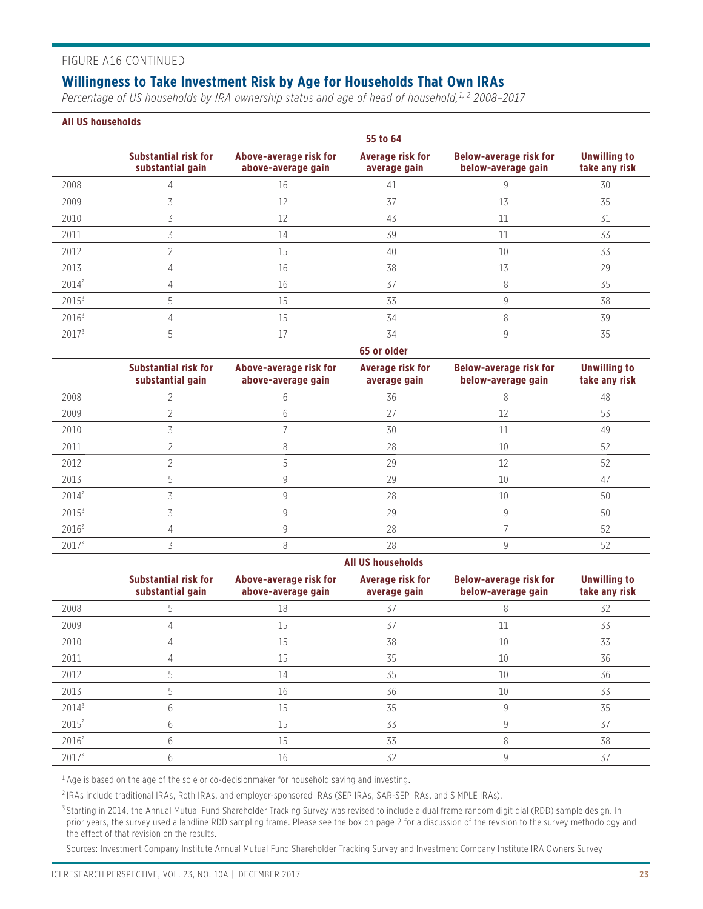#### FIGURE A16 CONTINUED

### **Willingness to Take Investment Risk by Age for Households That Own IRAs**

*Percentage of US households by IRA ownership status and age of head of household,1, 2 2008–2017*

#### **All US households**

|                   | 55 to 64                                        |                                              |                                         |                                                     |                                      |
|-------------------|-------------------------------------------------|----------------------------------------------|-----------------------------------------|-----------------------------------------------------|--------------------------------------|
|                   | <b>Substantial risk for</b><br>substantial gain | Above-average risk for<br>above-average gain | <b>Average risk for</b><br>average gain | <b>Below-average risk for</b><br>below-average gain | <b>Unwilling to</b><br>take any risk |
| 2008              |                                                 | 16                                           | 41                                      |                                                     | 30                                   |
| 2009              |                                                 | 12                                           | 37                                      | 13                                                  | 35                                   |
| 2010              |                                                 | 12                                           | 43                                      | 11                                                  | 31                                   |
| 2011              |                                                 | 14                                           | 39                                      | 11                                                  | 33                                   |
| 2012              |                                                 | 15                                           | 40                                      | 10                                                  | 33                                   |
| 2013              |                                                 | 16                                           | 38                                      | 13                                                  | 29                                   |
| $2014^3$          |                                                 | 16                                           | 37                                      | 8                                                   | 35                                   |
| 2015 <sup>3</sup> |                                                 | 15                                           | 33                                      | q                                                   | 38                                   |
| $2016^3$          |                                                 | 15                                           | 34                                      | 8                                                   | 39                                   |
| $2017^{3}$        |                                                 | 17                                           | 34                                      | 9                                                   | 35                                   |

|                   | 65 or older                                     |                                              |                                  |                                                     |                                      |
|-------------------|-------------------------------------------------|----------------------------------------------|----------------------------------|-----------------------------------------------------|--------------------------------------|
|                   | <b>Substantial risk for</b><br>substantial gain | Above-average risk for<br>above-average gain | Average risk for<br>average gain | <b>Below-average risk for</b><br>below-average gain | <b>Unwilling to</b><br>take any risk |
| 2008              |                                                 |                                              | 36                               |                                                     | 48                                   |
| 2009              |                                                 | h                                            | 27                               | 12                                                  | 53                                   |
| 2010              |                                                 |                                              | 30                               |                                                     | 49                                   |
| 2011              |                                                 | 8                                            | 28                               | 10                                                  | 52                                   |
| 2012              |                                                 |                                              | 29                               | 12                                                  | 52                                   |
| 2013              |                                                 |                                              | 29                               | 10                                                  | 47                                   |
| $2014^3$          |                                                 |                                              | 28                               | 10                                                  | 50                                   |
| $2015^3$          |                                                 |                                              | 29                               | 9                                                   | 50                                   |
| $2016^3$          |                                                 |                                              | 28                               |                                                     | 52                                   |
| 2017 <sup>3</sup> |                                                 |                                              | 28                               |                                                     | 52                                   |

#### **All US households Substantial risk for substantial gain Above-average risk for above-average gain Average risk for average gain Below-average risk for below-average gain Unwilling to take any risk** 2008 5 18 37 8 32 2009 4 15 37 11 33 2010 4 15 38 10 33 2011 4 15 35 10 36 2012 5 14 35 10 36 2013 5 16 36 10 33  $2014^3$  6 6 15 35 35 9 35  $2015^3$  6 6 15 15 33 9 9 37  $2016<sup>3</sup>$  6 6 15 15 33 8 8 38  $2017^3$  6 6 16 16 32 9 9 37

 $1$  Age is based on the age of the sole or co-decisionmaker for household saving and investing.

2 IRAs include traditional IRAs, Roth IRAs, and employer-sponsored IRAs (SEP IRAs, SAR-SEP IRAs, and SIMPLE IRAs).

<sup>3</sup> Starting in 2014, the Annual Mutual Fund Shareholder Tracking Survey was revised to include a dual frame random digit dial (RDD) sample design. In prior years, the survey used a landline RDD sampling frame. Please see the box on page 2 for a discussion of the revision to the survey methodology and the effect of that revision on the results.

Sources: Investment Company Institute Annual Mutual Fund Shareholder Tracking Survey and Investment Company Institute IRA Owners Survey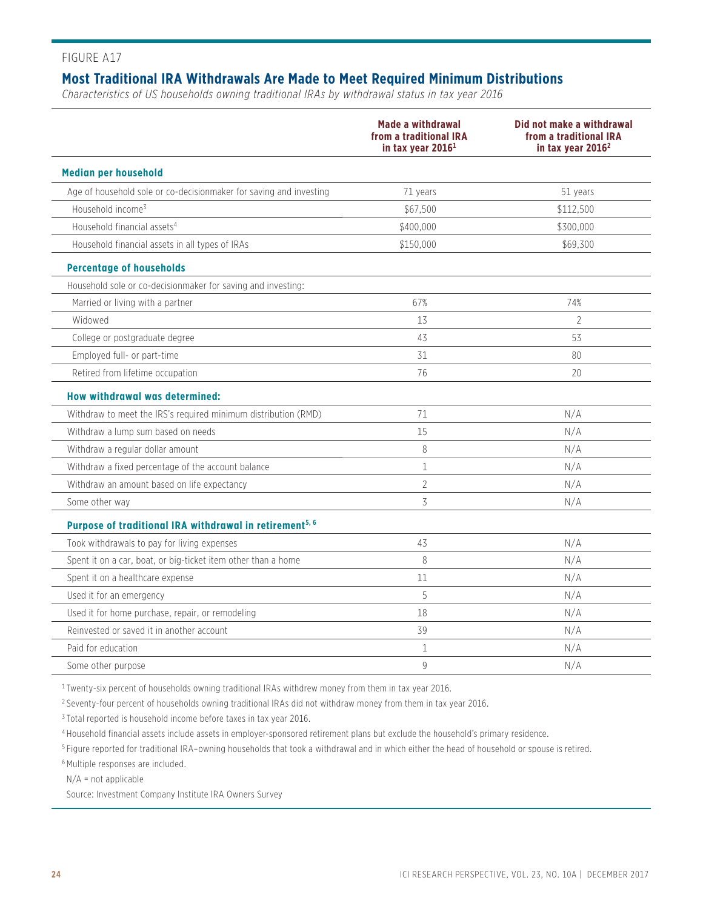### **Most Traditional IRA Withdrawals Are Made to Meet Required Minimum Distributions**

*Characteristics of US households owning traditional IRAs by withdrawal status in tax year 2016*

|                                                                     | Made a withdrawal<br>from a traditional IRA<br>in tax year $20161$ | Did not make a withdrawal<br>from a traditional IRA<br>in tax year $20162$ |
|---------------------------------------------------------------------|--------------------------------------------------------------------|----------------------------------------------------------------------------|
| <b>Median per household</b>                                         |                                                                    |                                                                            |
| Age of household sole or co-decisionmaker for saving and investing  | 71 years                                                           | 51 years                                                                   |
| Household income <sup>3</sup>                                       | \$67,500                                                           | \$112,500                                                                  |
| Household financial assets <sup>4</sup>                             | \$400.000                                                          | \$300,000                                                                  |
| Household financial assets in all types of IRAs                     | \$150,000                                                          | \$69,300                                                                   |
| <b>Percentage of households</b>                                     |                                                                    |                                                                            |
| Household sole or co-decisionmaker for saving and investing:        |                                                                    |                                                                            |
| Married or living with a partner                                    | 67%                                                                | 74%                                                                        |
| Widowed                                                             | 13                                                                 | $\overline{2}$                                                             |
| College or postgraduate degree                                      | 43                                                                 | 53                                                                         |
| Employed full- or part-time                                         | 31                                                                 | 80                                                                         |
| Retired from lifetime occupation                                    | 76                                                                 | 20                                                                         |
| How withdrawal was determined:                                      |                                                                    |                                                                            |
| Withdraw to meet the IRS's required minimum distribution (RMD)      | 71                                                                 | N/A                                                                        |
| Withdraw a lump sum based on needs                                  | 15                                                                 | N/A                                                                        |
| Withdraw a regular dollar amount                                    | 8                                                                  | N/A                                                                        |
| Withdraw a fixed percentage of the account balance                  | $\mathbf{1}$                                                       | N/A                                                                        |
| Withdraw an amount based on life expectancy                         | $\overline{2}$                                                     | N/A                                                                        |
| Some other way                                                      | 3                                                                  | N/A                                                                        |
| Purpose of traditional IRA withdrawal in retirement <sup>5, 6</sup> |                                                                    |                                                                            |
| Took withdrawals to pay for living expenses                         | 43                                                                 | N/A                                                                        |
| Spent it on a car, boat, or big-ticket item other than a home       | 8                                                                  | N/A                                                                        |
| Spent it on a healthcare expense                                    | 11                                                                 | N/A                                                                        |
| Used it for an emergency                                            | 5                                                                  | N/A                                                                        |
| Used it for home purchase, repair, or remodeling                    | 18                                                                 | N/A                                                                        |
| Reinvested or saved it in another account                           | 39                                                                 | N/A                                                                        |
| Paid for education                                                  | 1                                                                  | N/A                                                                        |
| Some other purpose                                                  | 9                                                                  | N/A                                                                        |

<sup>1</sup> Twenty-six percent of households owning traditional IRAs withdrew money from them in tax year 2016.

<sup>2</sup> Seventy-four percent of households owning traditional IRAs did not withdraw money from them in tax year 2016.

3 Total reported is household income before taxes in tax year 2016.

4 Household financial assets include assets in employer-sponsored retirement plans but exclude the household's primary residence.

5 Figure reported for traditional IRA–owning households that took a withdrawal and in which either the head of household or spouse is retired.

6 Multiple responses are included.

N/A = not applicable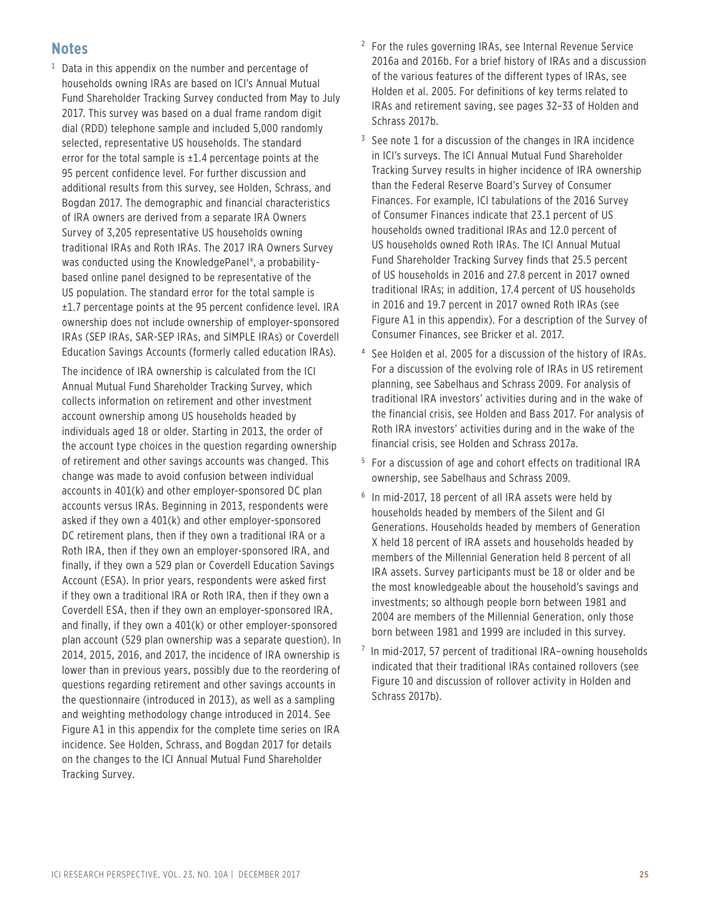### **Notes**

 $^1$  Data in this appendix on the number and percentage of households owning IRAs are based on ICI's Annual Mutual Fund Shareholder Tracking Survey conducted from May to July 2017. This survey was based on a dual frame random digit dial (RDD) telephone sample and included 5,000 randomly selected, representative US households. The standard error for the total sample is  $\pm 1.4$  percentage points at the 95 percent confidence level. For further discussion and additional results from this survey, see Holden, Schrass, and Bogdan 2017. The demographic and financial characteristics of IRA owners are derived from a separate IRA Owners Survey of 3,205 representative US households owning traditional IRAs and Roth IRAs. The 2017 IRA Owners Survey was conducted using the KnowledgePanel®, a probabilitybased online panel designed to be representative of the US population. The standard error for the total sample is ±1.7 percentage points at the 95 percent confidence level. IRA ownership does not include ownership of employer-sponsored IRAs (SEP IRAs, SAR-SEP IRAs, and SIMPLE IRAs) or Coverdell Education Savings Accounts (formerly called education IRAs).

 The incidence of IRA ownership is calculated from the ICI Annual Mutual Fund Shareholder Tracking Survey, which collects information on retirement and other investment account ownership among US households headed by individuals aged 18 or older. Starting in 2013, the order of the account type choices in the question regarding ownership of retirement and other savings accounts was changed. This change was made to avoid confusion between individual accounts in 401(k) and other employer-sponsored DC plan accounts versus IRAs. Beginning in 2013, respondents were asked if they own a 401(k) and other employer-sponsored DC retirement plans, then if they own a traditional IRA or a Roth IRA, then if they own an employer-sponsored IRA, and finally, if they own a 529 plan or Coverdell Education Savings Account (ESA). In prior years, respondents were asked first if they own a traditional IRA or Roth IRA, then if they own a Coverdell ESA, then if they own an employer-sponsored IRA, and finally, if they own a 401(k) or other employer-sponsored plan account (529 plan ownership was a separate question). In 2014, 2015, 2016, and 2017, the incidence of IRA ownership is lower than in previous years, possibly due to the reordering of questions regarding retirement and other savings accounts in the questionnaire (introduced in 2013), as well as a sampling and weighting methodology change introduced in 2014. See Figure A1 in this appendix for the complete time series on IRA incidence. See Holden, Schrass, and Bogdan 2017 for details on the changes to the ICI Annual Mutual Fund Shareholder Tracking Survey.

- <sup>2</sup> For the rules governing IRAs, see Internal Revenue Service 2016a and 2016b. For a brief history of IRAs and a discussion of the various features of the different types of IRAs, see Holden et al. 2005. For definitions of key terms related to IRAs and retirement saving, see pages 32–33 of Holden and Schrass 2017b.
- <sup>3</sup> See note 1 for a discussion of the changes in IRA incidence in ICI's surveys. The ICI Annual Mutual Fund Shareholder Tracking Survey results in higher incidence of IRA ownership than the Federal Reserve Board's Survey of Consumer Finances. For example, ICI tabulations of the 2016 Survey of Consumer Finances indicate that 23.1 percent of US households owned traditional IRAs and 12.0 percent of US households owned Roth IRAs. The ICI Annual Mutual Fund Shareholder Tracking Survey finds that 25.5 percent of US households in 2016 and 27.8 percent in 2017 owned traditional IRAs; in addition, 17.4 percent of US households in 2016 and 19.7 percent in 2017 owned Roth IRAs (see Figure A1 in this appendix). For a description of the Survey of Consumer Finances, see Bricker et al. 2017.
- 4 See Holden et al. 2005 for a discussion of the history of IRAs. For a discussion of the evolving role of IRAs in US retirement planning, see Sabelhaus and Schrass 2009. For analysis of traditional IRA investors' activities during and in the wake of the financial crisis, see Holden and Bass 2017. For analysis of Roth IRA investors' activities during and in the wake of the financial crisis, see Holden and Schrass 2017a.
- 5 For a discussion of age and cohort effects on traditional IRA ownership, see Sabelhaus and Schrass 2009.
- 6 In mid-2017, 18 percent of all IRA assets were held by households headed by members of the Silent and GI Generations. Households headed by members of Generation X held 18 percent of IRA assets and households headed by members of the Millennial Generation held 8 percent of all IRA assets. Survey participants must be 18 or older and be the most knowledgeable about the household's savings and investments; so although people born between 1981 and 2004 are members of the Millennial Generation, only those born between 1981 and 1999 are included in this survey.
- 7 In mid-2017, 57 percent of traditional IRA–owning households indicated that their traditional IRAs contained rollovers (see Figure 10 and discussion of rollover activity in Holden and Schrass 2017b).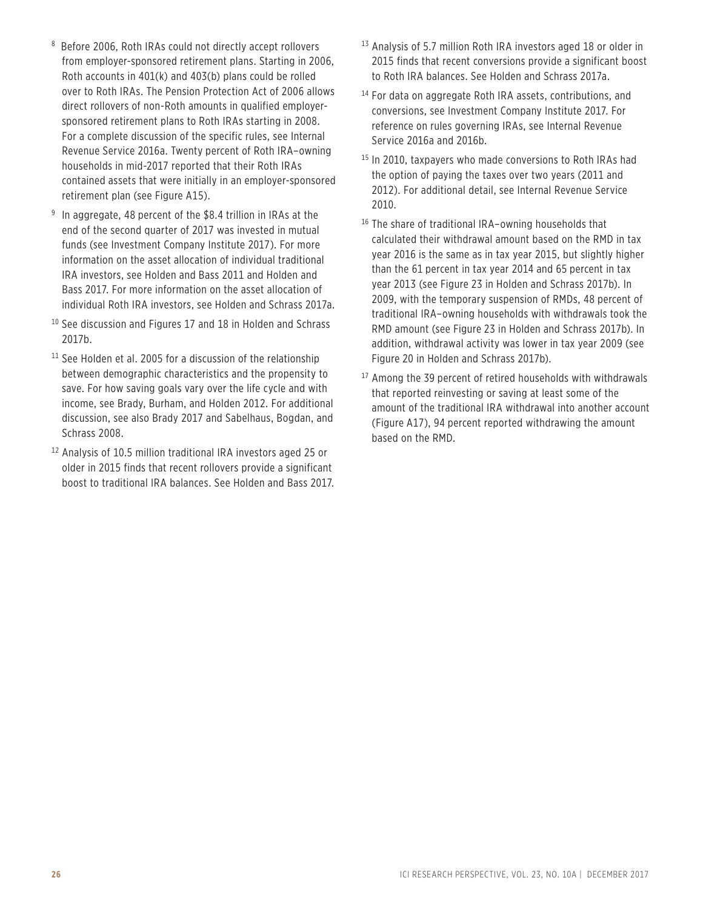- 8 Before 2006, Roth IRAs could not directly accept rollovers from employer-sponsored retirement plans. Starting in 2006, Roth accounts in 401(k) and 403(b) plans could be rolled over to Roth IRAs. The Pension Protection Act of 2006 allows direct rollovers of non-Roth amounts in qualified employersponsored retirement plans to Roth IRAs starting in 2008. For a complete discussion of the specific rules, see Internal Revenue Service 2016a. Twenty percent of Roth IRA–owning households in mid-2017 reported that their Roth IRAs contained assets that were initially in an employer-sponsored retirement plan (see Figure A15).
- 9 In aggregate, 48 percent of the \$8.4 trillion in IRAs at the end of the second quarter of 2017 was invested in mutual funds (see Investment Company Institute 2017). For more information on the asset allocation of individual traditional IRA investors, see Holden and Bass 2011 and Holden and Bass 2017. For more information on the asset allocation of individual Roth IRA investors, see Holden and Schrass 2017a.
- $10$  See discussion and Figures 17 and 18 in Holden and Schrass 2017b.
- $11$  See Holden et al. 2005 for a discussion of the relationship between demographic characteristics and the propensity to save. For how saving goals vary over the life cycle and with income, see Brady, Burham, and Holden 2012. For additional discussion, see also Brady 2017 and Sabelhaus, Bogdan, and Schrass 2008.
- 12 Analysis of 10.5 million traditional IRA investors aged 25 or older in 2015 finds that recent rollovers provide a significant boost to traditional IRA balances. See Holden and Bass 2017.
- 13 Analysis of 5.7 million Roth IRA investors aged 18 or older in 2015 finds that recent conversions provide a significant boost to Roth IRA balances. See Holden and Schrass 2017a.
- <sup>14</sup> For data on aggregate Roth IRA assets, contributions, and conversions, see Investment Company Institute 2017. For reference on rules governing IRAs, see Internal Revenue Service 2016a and 2016b.
- <sup>15</sup> In 2010, taxpayers who made conversions to Roth IRAs had the option of paying the taxes over two years (2011 and 2012). For additional detail, see Internal Revenue Service 2010.
- $16$  The share of traditional IRA–owning households that calculated their withdrawal amount based on the RMD in tax year 2016 is the same as in tax year 2015, but slightly higher than the 61 percent in tax year 2014 and 65 percent in tax year 2013 (see Figure 23 in Holden and Schrass 2017b). In 2009, with the temporary suspension of RMDs, 48 percent of traditional IRA–owning households with withdrawals took the RMD amount (see Figure 23 in Holden and Schrass 2017b). In addition, withdrawal activity was lower in tax year 2009 (see Figure 20 in Holden and Schrass 2017b).
- <sup>17</sup> Among the 39 percent of retired households with withdrawals that reported reinvesting or saving at least some of the amount of the traditional IRA withdrawal into another account (Figure A17), 94 percent reported withdrawing the amount based on the RMD.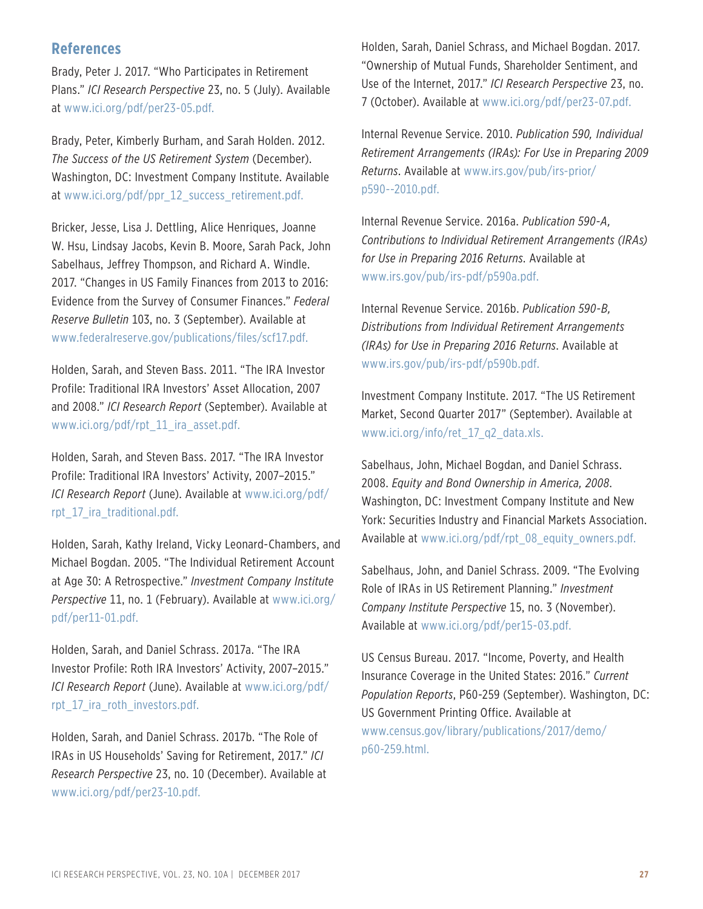### **References**

Brady, Peter J. 2017. "Who Participates in Retirement Plans." *ICI Research Perspective* 23, no. 5 (July). Available at www.ici.org/pdf/per23-05.pdf.

Brady, Peter, Kimberly Burham, and Sarah Holden. 2012. *The Success of the US Retirement System* (December). Washington, DC: Investment Company Institute. Available at www.ici.org/pdf/ppr\_12\_success\_retirement.pdf.

Bricker, Jesse, Lisa J. Dettling, Alice Henriques, Joanne W. Hsu, Lindsay Jacobs, Kevin B. Moore, Sarah Pack, John Sabelhaus, Jeffrey Thompson, and Richard A. Windle. 2017. "Changes in US Family Finances from 2013 to 2016: Evidence from the Survey of Consumer Finances." *Federal Reserve Bulletin* 103, no. 3 (September). Available at www.federalreserve.gov/publications/files/scf17.pdf.

Holden, Sarah, and Steven Bass. 2011. "The IRA Investor Profile: Traditional IRA Investors' Asset Allocation, 2007 and 2008." *ICI Research Report* (September). Available at www.ici.org/pdf/rpt\_11\_ira\_asset.pdf.

Holden, Sarah, and Steven Bass. 2017. "The IRA Investor Profile: Traditional IRA Investors' Activity, 2007–2015." *ICI Research Report* [\(June\). Available at www.ici.org/pdf/](www.ici.org/pdf/rpt_17_ira_traditional.pdf) rpt\_17\_ira\_traditional.pdf.

Holden, Sarah, Kathy Ireland, Vicky Leonard-Chambers, and Michael Bogdan. 2005. "The Individual Retirement Account at Age 30: A Retrospective." *Investment Company Institute Perspective* [11, no. 1 \(February\). Available at www.ici.org/](www.ici.org/pdf/per11-01.pdf) pdf/per11-01.pdf.

Holden, Sarah, and Daniel Schrass. 2017a. "The IRA Investor Profile: Roth IRA Investors' Activity, 2007–2015." *ICI Research Report* [\(June\). Available at www.ici.org/pdf/](www.ici.org/pdf/rpt_17_ira_roth_investors.pdf) rpt 17 ira\_roth\_investors.pdf.

Holden, Sarah, and Daniel Schrass. 2017b. "The Role of IRAs in US Households' Saving for Retirement, 2017." *ICI Research Perspective* 23, no. 10 (December). Available at www.ici.org/pdf/per23-10.pdf.

Holden, Sarah, Daniel Schrass, and Michael Bogdan. 2017. "Ownership of Mutual Funds, Shareholder Sentiment, and Use of the Internet, 2017." *ICI Research Perspective* 23, no. 7 (October). Available at www.ici.org/pdf/per23-07.pdf.

Internal Revenue Service. 2010. *Publication 590, Individual Retirement Arrangements (IRAs): For Use in Preparing 2009 Returns*[. Available at www.irs.gov/pub/irs-prior/](www.irs.gov/pub/irs-prior/p590--2010.pdf) p590--2010.pdf.

Internal Revenue Service. 2016a. *Publication 590-A, Contributions to Individual Retirement Arrangements (IRAs) for Use in Preparing 2016 Returns*. Available at www.irs.gov/pub/irs-pdf/p590a.pdf.

Internal Revenue Service. 2016b. *Publication 590-B, Distributions from Individual Retirement Arrangements (IRAs) for Use in Preparing 2016 Returns*. Available at www.irs.gov/pub/irs-pdf/p590b.pdf.

Investment Company Institute. 2017. "The US Retirement Market, Second Quarter 2017" (September). Available at www.ici.org/info/ret\_17\_q2\_data.xls.

Sabelhaus, John, Michael Bogdan, and Daniel Schrass. 2008. *Equity and Bond Ownership in America, 2008*. Washington, DC: Investment Company Institute and New York: Securities Industry and Financial Markets Association. Available at www.ici.org/pdf/rpt\_08\_equity\_owners.pdf.

Sabelhaus, John, and Daniel Schrass. 2009. "The Evolving Role of IRAs in US Retirement Planning." *Investment Company Institute Perspective* 15, no. 3 (November). Available at www.ici.org/pdf/per15-03.pdf.

US Census Bureau. 2017. "Income, Poverty, and Health Insurance Coverage in the United States: 2016." *Current Population Reports*, P60-259 (September). Washington, DC: US Government Printing Office. Available at [www.census.gov/library/publications/2017/demo/](www.census.gov/library/publications/2017/demo/p60-259.html) p60-259.html.